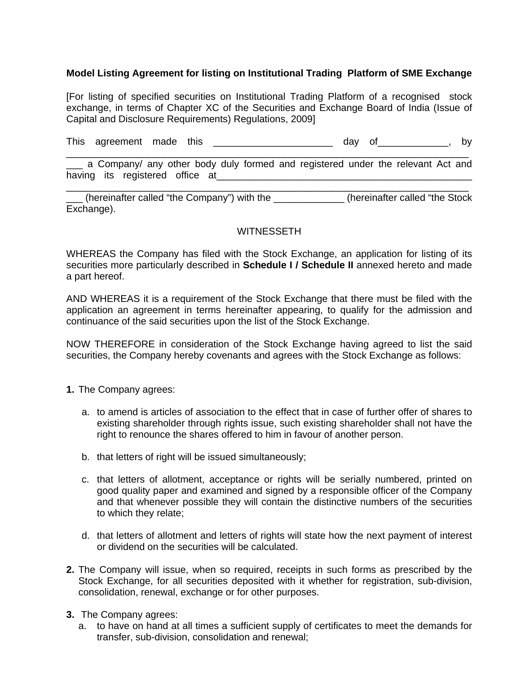## **Model Listing Agreement for listing on Institutional Trading Platform of SME Exchange**

[For listing of specified securities on Institutional Trading Platform of a recognised stock exchange, in terms of Chapter XC of the Securities and Exchange Board of India (Issue of Capital and Disclosure Requirements) Regulations, 2009]

This agreement made this example the state of the state of the state of the state of the state of the state of the state of the state of the state of the state of the state of the state of the state of the state of the sta \_\_\_\_\_\_\_\_\_\_\_\_\_\_\_\_\_\_\_\_\_\_\_\_\_\_\_\_\_\_\_\_\_\_\_\_\_\_\_\_\_\_\_\_\_\_\_\_\_\_\_\_\_\_\_\_\_\_\_\_\_\_\_\_\_\_\_\_\_\_\_\_\_\_

a Company/ any other body duly formed and registered under the relevant Act and having its registered office at

\_\_\_ (hereinafter called "the Company") with the \_\_\_\_\_\_\_\_\_\_\_\_\_ (hereinafter called "the Stock Exchange).

\_\_\_\_\_\_\_\_\_\_\_\_\_\_\_\_\_\_\_\_\_\_\_\_\_\_\_\_\_\_\_\_\_\_\_\_\_\_\_\_\_\_\_\_\_\_\_\_\_\_\_\_\_\_\_\_\_\_\_\_\_\_\_\_\_\_\_\_\_\_\_\_\_\_

## WITNESSETH

WHEREAS the Company has filed with the Stock Exchange, an application for listing of its securities more particularly described in **Schedule I / Schedule II** annexed hereto and made a part hereof.

AND WHEREAS it is a requirement of the Stock Exchange that there must be filed with the application an agreement in terms hereinafter appearing, to qualify for the admission and continuance of the said securities upon the list of the Stock Exchange.

NOW THEREFORE in consideration of the Stock Exchange having agreed to list the said securities, the Company hereby covenants and agrees with the Stock Exchange as follows:

- **1.** The Company agrees:
	- a. to amend is articles of association to the effect that in case of further offer of shares to existing shareholder through rights issue, such existing shareholder shall not have the right to renounce the shares offered to him in favour of another person.
	- b. that letters of right will be issued simultaneously;
	- c. that letters of allotment, acceptance or rights will be serially numbered, printed on good quality paper and examined and signed by a responsible officer of the Company and that whenever possible they will contain the distinctive numbers of the securities to which they relate;
	- d. that letters of allotment and letters of rights will state how the next payment of interest or dividend on the securities will be calculated.
- **2.** The Company will issue, when so required, receipts in such forms as prescribed by the Stock Exchange, for all securities deposited with it whether for registration, sub-division, consolidation, renewal, exchange or for other purposes.
- **3.** The Company agrees:
	- a. to have on hand at all times a sufficient supply of certificates to meet the demands for transfer, sub-division, consolidation and renewal;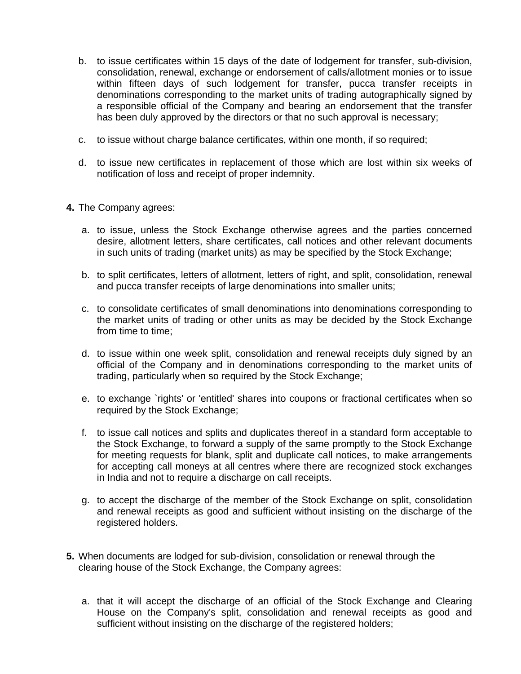- b. to issue certificates within 15 days of the date of lodgement for transfer, sub-division, consolidation, renewal, exchange or endorsement of calls/allotment monies or to issue within fifteen days of such lodgement for transfer, pucca transfer receipts in denominations corresponding to the market units of trading autographically signed by a responsible official of the Company and bearing an endorsement that the transfer has been duly approved by the directors or that no such approval is necessary;
- c. to issue without charge balance certificates, within one month, if so required;
- d. to issue new certificates in replacement of those which are lost within six weeks of notification of loss and receipt of proper indemnity.
- **4.** The Company agrees:
	- a. to issue, unless the Stock Exchange otherwise agrees and the parties concerned desire, allotment letters, share certificates, call notices and other relevant documents in such units of trading (market units) as may be specified by the Stock Exchange;
	- b. to split certificates, letters of allotment, letters of right, and split, consolidation, renewal and pucca transfer receipts of large denominations into smaller units;
	- c. to consolidate certificates of small denominations into denominations corresponding to the market units of trading or other units as may be decided by the Stock Exchange from time to time;
	- d. to issue within one week split, consolidation and renewal receipts duly signed by an official of the Company and in denominations corresponding to the market units of trading, particularly when so required by the Stock Exchange;
	- e. to exchange `rights' or 'entitled' shares into coupons or fractional certificates when so required by the Stock Exchange;
	- f. to issue call notices and splits and duplicates thereof in a standard form acceptable to the Stock Exchange, to forward a supply of the same promptly to the Stock Exchange for meeting requests for blank, split and duplicate call notices, to make arrangements for accepting call moneys at all centres where there are recognized stock exchanges in India and not to require a discharge on call receipts.
	- g. to accept the discharge of the member of the Stock Exchange on split, consolidation and renewal receipts as good and sufficient without insisting on the discharge of the registered holders.
- **5.** When documents are lodged for sub-division, consolidation or renewal through the clearing house of the Stock Exchange, the Company agrees:
	- a. that it will accept the discharge of an official of the Stock Exchange and Clearing House on the Company's split, consolidation and renewal receipts as good and sufficient without insisting on the discharge of the registered holders;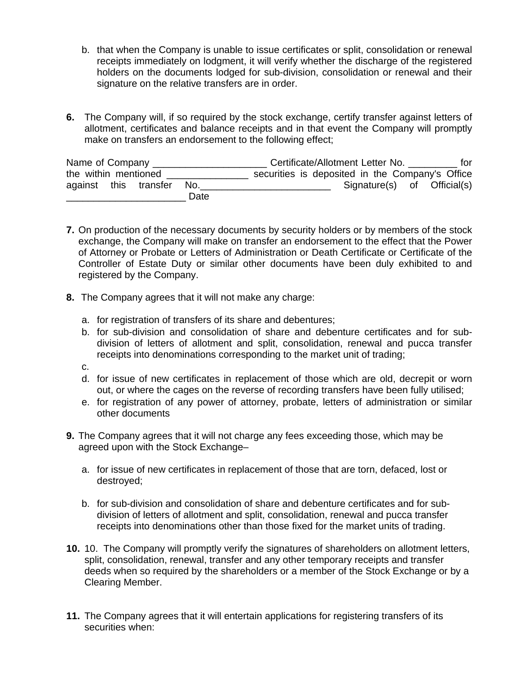- b. that when the Company is unable to issue certificates or split, consolidation or renewal receipts immediately on lodgment, it will verify whether the discharge of the registered holders on the documents lodged for sub-division, consolidation or renewal and their signature on the relative transfers are in order.
- **6.** The Company will, if so required by the stock exchange, certify transfer against letters of allotment, certificates and balance receipts and in that event the Company will promptly make on transfers an endorsement to the following effect;

Name of Company \_\_\_\_\_\_\_\_\_\_\_\_\_\_\_\_\_\_\_\_\_\_\_\_\_\_\_Certificate/Allotment Letter No. \_\_\_\_\_\_\_\_\_\_ for the within mentioned **Example 2** securities is deposited in the Company's Office against this transfer No. The Signature (s) of Official(s) \_\_\_\_\_\_\_\_\_\_\_\_\_\_\_\_\_\_\_\_\_\_ Date

- **7.** On production of the necessary documents by security holders or by members of the stock exchange, the Company will make on transfer an endorsement to the effect that the Power of Attorney or Probate or Letters of Administration or Death Certificate or Certificate of the Controller of Estate Duty or similar other documents have been duly exhibited to and registered by the Company.
- **8.** The Company agrees that it will not make any charge:
	- a. for registration of transfers of its share and debentures;
	- b. for sub-division and consolidation of share and debenture certificates and for subdivision of letters of allotment and split, consolidation, renewal and pucca transfer receipts into denominations corresponding to the market unit of trading;
	- c.
	- d. for issue of new certificates in replacement of those which are old, decrepit or worn out, or where the cages on the reverse of recording transfers have been fully utilised;
	- e. for registration of any power of attorney, probate, letters of administration or similar other documents
- **9.** The Company agrees that it will not charge any fees exceeding those, which may be agreed upon with the Stock Exchange–
	- a. for issue of new certificates in replacement of those that are torn, defaced, lost or destroyed;
	- b. for sub-division and consolidation of share and debenture certificates and for subdivision of letters of allotment and split, consolidation, renewal and pucca transfer receipts into denominations other than those fixed for the market units of trading.
- **10.** 10. The Company will promptly verify the signatures of shareholders on allotment letters, split, consolidation, renewal, transfer and any other temporary receipts and transfer deeds when so required by the shareholders or a member of the Stock Exchange or by a Clearing Member.
- **11.** The Company agrees that it will entertain applications for registering transfers of its securities when: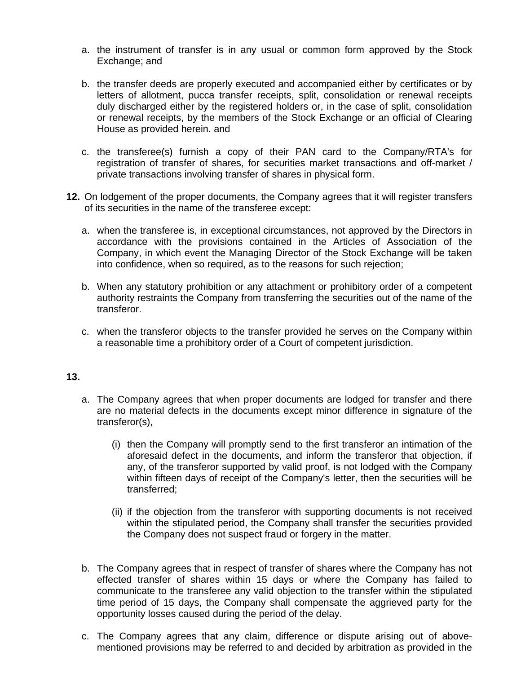- a. the instrument of transfer is in any usual or common form approved by the Stock Exchange; and
- b. the transfer deeds are properly executed and accompanied either by certificates or by letters of allotment, pucca transfer receipts, split, consolidation or renewal receipts duly discharged either by the registered holders or, in the case of split, consolidation or renewal receipts, by the members of the Stock Exchange or an official of Clearing House as provided herein. and
- c. the transferee(s) furnish a copy of their PAN card to the Company/RTA's for registration of transfer of shares, for securities market transactions and off-market / private transactions involving transfer of shares in physical form.
- **12.** On lodgement of the proper documents, the Company agrees that it will register transfers of its securities in the name of the transferee except:
	- a. when the transferee is, in exceptional circumstances, not approved by the Directors in accordance with the provisions contained in the Articles of Association of the Company, in which event the Managing Director of the Stock Exchange will be taken into confidence, when so required, as to the reasons for such rejection;
	- b. When any statutory prohibition or any attachment or prohibitory order of a competent authority restraints the Company from transferring the securities out of the name of the transferor.
	- c. when the transferor objects to the transfer provided he serves on the Company within a reasonable time a prohibitory order of a Court of competent jurisdiction.

## **13.**

- a. The Company agrees that when proper documents are lodged for transfer and there are no material defects in the documents except minor difference in signature of the transferor(s),
	- (i) then the Company will promptly send to the first transferor an intimation of the aforesaid defect in the documents, and inform the transferor that objection, if any, of the transferor supported by valid proof, is not lodged with the Company within fifteen days of receipt of the Company's letter, then the securities will be transferred;
	- (ii) if the objection from the transferor with supporting documents is not received within the stipulated period, the Company shall transfer the securities provided the Company does not suspect fraud or forgery in the matter.
- b. The Company agrees that in respect of transfer of shares where the Company has not effected transfer of shares within 15 days or where the Company has failed to communicate to the transferee any valid objection to the transfer within the stipulated time period of 15 days, the Company shall compensate the aggrieved party for the opportunity losses caused during the period of the delay.
- c. The Company agrees that any claim, difference or dispute arising out of abovementioned provisions may be referred to and decided by arbitration as provided in the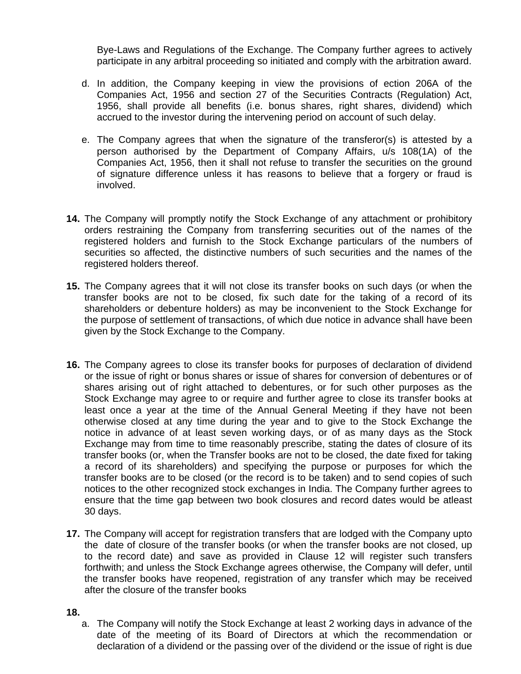Bye-Laws and Regulations of the Exchange. The Company further agrees to actively participate in any arbitral proceeding so initiated and comply with the arbitration award.

- d. In addition, the Company keeping in view the provisions of ection 206A of the Companies Act, 1956 and section 27 of the Securities Contracts (Regulation) Act, 1956, shall provide all benefits (i.e. bonus shares, right shares, dividend) which accrued to the investor during the intervening period on account of such delay.
- e. The Company agrees that when the signature of the transferor(s) is attested by a person authorised by the Department of Company Affairs, u/s 108(1A) of the Companies Act, 1956, then it shall not refuse to transfer the securities on the ground of signature difference unless it has reasons to believe that a forgery or fraud is involved.
- **14.** The Company will promptly notify the Stock Exchange of any attachment or prohibitory orders restraining the Company from transferring securities out of the names of the registered holders and furnish to the Stock Exchange particulars of the numbers of securities so affected, the distinctive numbers of such securities and the names of the registered holders thereof.
- **15.** The Company agrees that it will not close its transfer books on such days (or when the transfer books are not to be closed, fix such date for the taking of a record of its shareholders or debenture holders) as may be inconvenient to the Stock Exchange for the purpose of settlement of transactions, of which due notice in advance shall have been given by the Stock Exchange to the Company.
- **16.** The Company agrees to close its transfer books for purposes of declaration of dividend or the issue of right or bonus shares or issue of shares for conversion of debentures or of shares arising out of right attached to debentures, or for such other purposes as the Stock Exchange may agree to or require and further agree to close its transfer books at least once a year at the time of the Annual General Meeting if they have not been otherwise closed at any time during the year and to give to the Stock Exchange the notice in advance of at least seven working days, or of as many days as the Stock Exchange may from time to time reasonably prescribe, stating the dates of closure of its transfer books (or, when the Transfer books are not to be closed, the date fixed for taking a record of its shareholders) and specifying the purpose or purposes for which the transfer books are to be closed (or the record is to be taken) and to send copies of such notices to the other recognized stock exchanges in India. The Company further agrees to ensure that the time gap between two book closures and record dates would be atleast 30 days.
- **17.** The Company will accept for registration transfers that are lodged with the Company upto the date of closure of the transfer books (or when the transfer books are not closed, up to the record date) and save as provided in Clause 12 will register such transfers forthwith; and unless the Stock Exchange agrees otherwise, the Company will defer, until the transfer books have reopened, registration of any transfer which may be received after the closure of the transfer books

#### **18.**

a. The Company will notify the Stock Exchange at least 2 working days in advance of the date of the meeting of its Board of Directors at which the recommendation or declaration of a dividend or the passing over of the dividend or the issue of right is due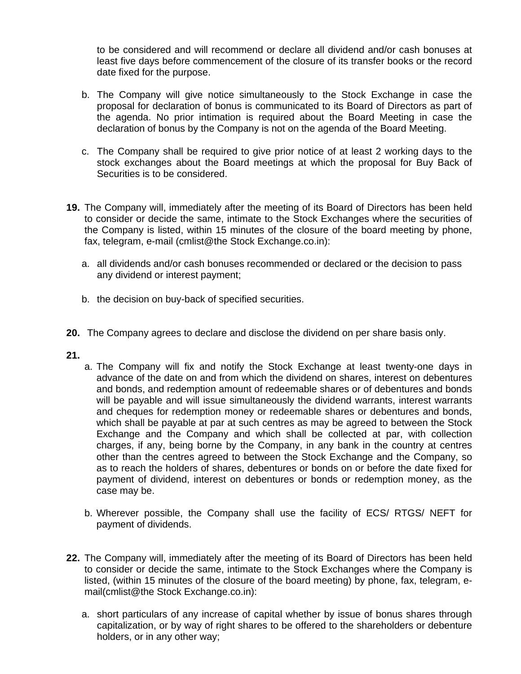to be considered and will recommend or declare all dividend and/or cash bonuses at least five days before commencement of the closure of its transfer books or the record date fixed for the purpose.

- b. The Company will give notice simultaneously to the Stock Exchange in case the proposal for declaration of bonus is communicated to its Board of Directors as part of the agenda. No prior intimation is required about the Board Meeting in case the declaration of bonus by the Company is not on the agenda of the Board Meeting.
- c. The Company shall be required to give prior notice of at least 2 working days to the stock exchanges about the Board meetings at which the proposal for Buy Back of Securities is to be considered.
- **19.** The Company will, immediately after the meeting of its Board of Directors has been held to consider or decide the same, intimate to the Stock Exchanges where the securities of the Company is listed, within 15 minutes of the closure of the board meeting by phone, fax, telegram, e-mail (cmlist@the Stock Exchange.co.in):
	- a. all dividends and/or cash bonuses recommended or declared or the decision to pass any dividend or interest payment;
	- b. the decision on buy-back of specified securities.
- **20.** The Company agrees to declare and disclose the dividend on per share basis only.
- **21.**
- a. The Company will fix and notify the Stock Exchange at least twenty-one days in advance of the date on and from which the dividend on shares, interest on debentures and bonds, and redemption amount of redeemable shares or of debentures and bonds will be payable and will issue simultaneously the dividend warrants, interest warrants and cheques for redemption money or redeemable shares or debentures and bonds, which shall be payable at par at such centres as may be agreed to between the Stock Exchange and the Company and which shall be collected at par, with collection charges, if any, being borne by the Company, in any bank in the country at centres other than the centres agreed to between the Stock Exchange and the Company, so as to reach the holders of shares, debentures or bonds on or before the date fixed for payment of dividend, interest on debentures or bonds or redemption money, as the case may be.
- b. Wherever possible, the Company shall use the facility of ECS/ RTGS/ NEFT for payment of dividends.
- **22.** The Company will, immediately after the meeting of its Board of Directors has been held to consider or decide the same, intimate to the Stock Exchanges where the Company is listed, (within 15 minutes of the closure of the board meeting) by phone, fax, telegram, email(cmlist@the Stock Exchange.co.in):
	- a. short particulars of any increase of capital whether by issue of bonus shares through capitalization, or by way of right shares to be offered to the shareholders or debenture holders, or in any other way;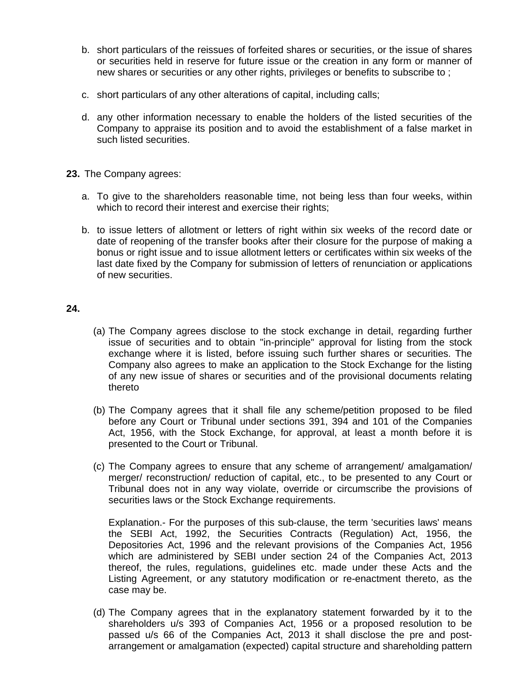- b. short particulars of the reissues of forfeited shares or securities, or the issue of shares or securities held in reserve for future issue or the creation in any form or manner of new shares or securities or any other rights, privileges or benefits to subscribe to ;
- c. short particulars of any other alterations of capital, including calls;
- d. any other information necessary to enable the holders of the listed securities of the Company to appraise its position and to avoid the establishment of a false market in such listed securities.
- **23.** The Company agrees:
	- a. To give to the shareholders reasonable time, not being less than four weeks, within which to record their interest and exercise their rights;
	- b. to issue letters of allotment or letters of right within six weeks of the record date or date of reopening of the transfer books after their closure for the purpose of making a bonus or right issue and to issue allotment letters or certificates within six weeks of the last date fixed by the Company for submission of letters of renunciation or applications of new securities.

## **24.**

- (a) The Company agrees disclose to the stock exchange in detail, regarding further issue of securities and to obtain "in-principle" approval for listing from the stock exchange where it is listed, before issuing such further shares or securities. The Company also agrees to make an application to the Stock Exchange for the listing of any new issue of shares or securities and of the provisional documents relating thereto
- (b) The Company agrees that it shall file any scheme/petition proposed to be filed before any Court or Tribunal under sections 391, 394 and 101 of the Companies Act, 1956, with the Stock Exchange, for approval, at least a month before it is presented to the Court or Tribunal.
- (c) The Company agrees to ensure that any scheme of arrangement/ amalgamation/ merger/ reconstruction/ reduction of capital, etc., to be presented to any Court or Tribunal does not in any way violate, override or circumscribe the provisions of securities laws or the Stock Exchange requirements.

Explanation.- For the purposes of this sub-clause, the term 'securities laws' means the SEBI Act, 1992, the Securities Contracts (Regulation) Act, 1956, the Depositories Act, 1996 and the relevant provisions of the Companies Act, 1956 which are administered by SEBI under section 24 of the Companies Act, 2013 thereof, the rules, regulations, guidelines etc. made under these Acts and the Listing Agreement, or any statutory modification or re-enactment thereto, as the case may be.

(d) The Company agrees that in the explanatory statement forwarded by it to the shareholders u/s 393 of Companies Act, 1956 or a proposed resolution to be passed u/s 66 of the Companies Act, 2013 it shall disclose the pre and postarrangement or amalgamation (expected) capital structure and shareholding pattern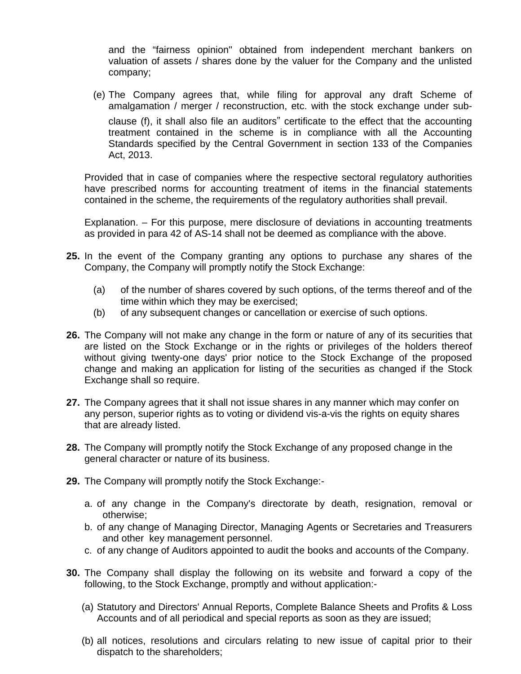and the "fairness opinion" obtained from independent merchant bankers on valuation of assets / shares done by the valuer for the Company and the unlisted company;

(e) The Company agrees that, while filing for approval any draft Scheme of amalgamation / merger / reconstruction, etc. with the stock exchange under subclause (f), it shall also file an auditors" certificate to the effect that the accounting treatment contained in the scheme is in compliance with all the Accounting Standards specified by the Central Government in section 133 of the Companies Act, 2013.

Provided that in case of companies where the respective sectoral regulatory authorities have prescribed norms for accounting treatment of items in the financial statements contained in the scheme, the requirements of the regulatory authorities shall prevail.

Explanation. – For this purpose, mere disclosure of deviations in accounting treatments as provided in para 42 of AS-14 shall not be deemed as compliance with the above.

- **25.** In the event of the Company granting any options to purchase any shares of the Company, the Company will promptly notify the Stock Exchange:
	- (a) of the number of shares covered by such options, of the terms thereof and of the time within which they may be exercised;
	- (b) of any subsequent changes or cancellation or exercise of such options.
- **26.** The Company will not make any change in the form or nature of any of its securities that are listed on the Stock Exchange or in the rights or privileges of the holders thereof without giving twenty-one days' prior notice to the Stock Exchange of the proposed change and making an application for listing of the securities as changed if the Stock Exchange shall so require.
- **27.** The Company agrees that it shall not issue shares in any manner which may confer on any person, superior rights as to voting or dividend vis-a-vis the rights on equity shares that are already listed.
- **28.** The Company will promptly notify the Stock Exchange of any proposed change in the general character or nature of its business.
- **29.** The Company will promptly notify the Stock Exchange:
	- a. of any change in the Company's directorate by death, resignation, removal or otherwise;
	- b. of any change of Managing Director, Managing Agents or Secretaries and Treasurers and other key management personnel.
	- c. of any change of Auditors appointed to audit the books and accounts of the Company.
- **30.** The Company shall display the following on its website and forward a copy of the following, to the Stock Exchange, promptly and without application:-
	- (a) Statutory and Directors' Annual Reports, Complete Balance Sheets and Profits & Loss Accounts and of all periodical and special reports as soon as they are issued;
	- (b) all notices, resolutions and circulars relating to new issue of capital prior to their dispatch to the shareholders;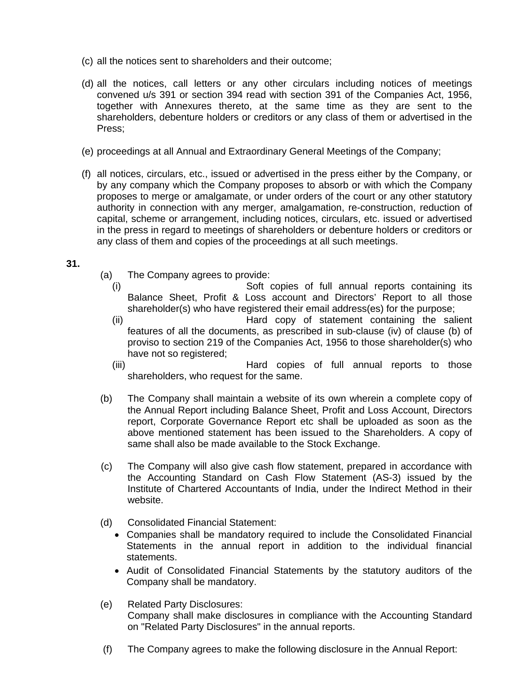- (c) all the notices sent to shareholders and their outcome;
- (d) all the notices, call letters or any other circulars including notices of meetings convened u/s 391 or section 394 read with section 391 of the Companies Act, 1956, together with Annexures thereto, at the same time as they are sent to the shareholders, debenture holders or creditors or any class of them or advertised in the Press;
- (e) proceedings at all Annual and Extraordinary General Meetings of the Company;
- (f) all notices, circulars, etc., issued or advertised in the press either by the Company, or by any company which the Company proposes to absorb or with which the Company proposes to merge or amalgamate, or under orders of the court or any other statutory authority in connection with any merger, amalgamation, re-construction, reduction of capital, scheme or arrangement, including notices, circulars, etc. issued or advertised in the press in regard to meetings of shareholders or debenture holders or creditors or any class of them and copies of the proceedings at all such meetings.

## **31.**

- (a) The Company agrees to provide:
	- (i) Soft copies of full annual reports containing its Balance Sheet, Profit & Loss account and Directors' Report to all those shareholder(s) who have registered their email address(es) for the purpose;
	- (ii) Hard copy of statement containing the salient features of all the documents, as prescribed in sub-clause (iv) of clause (b) of proviso to section 219 of the Companies Act, 1956 to those shareholder(s) who have not so registered;
	- (iii) Hard copies of full annual reports to those shareholders, who request for the same.
- (b) The Company shall maintain a website of its own wherein a complete copy of the Annual Report including Balance Sheet, Profit and Loss Account, Directors report, Corporate Governance Report etc shall be uploaded as soon as the above mentioned statement has been issued to the Shareholders. A copy of same shall also be made available to the Stock Exchange.
- (c) The Company will also give cash flow statement, prepared in accordance with the Accounting Standard on Cash Flow Statement (AS-3) issued by the Institute of Chartered Accountants of India, under the Indirect Method in their website.
- (d) Consolidated Financial Statement:
	- Companies shall be mandatory required to include the Consolidated Financial Statements in the annual report in addition to the individual financial statements.
	- Audit of Consolidated Financial Statements by the statutory auditors of the Company shall be mandatory.
- (e) Related Party Disclosures: Company shall make disclosures in compliance with the Accounting Standard on "Related Party Disclosures" in the annual reports.
- (f) The Company agrees to make the following disclosure in the Annual Report: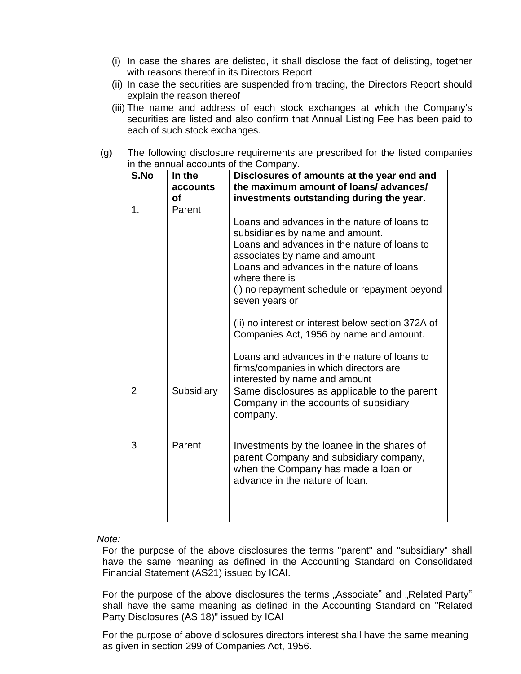- (i) In case the shares are delisted, it shall disclose the fact of delisting, together with reasons thereof in its Directors Report
- (ii) In case the securities are suspended from trading, the Directors Report should explain the reason thereof
- (iii) The name and address of each stock exchanges at which the Company's securities are listed and also confirm that Annual Listing Fee has been paid to each of such stock exchanges.
- (g) The following disclosure requirements are prescribed for the listed companies in the annual accounts of the Company.

| S.No | In the<br>accounts<br>οf | Disclosures of amounts at the year end and<br>the maximum amount of loans/advances/<br>investments outstanding during the year.                                                                                                                                                                                                                           |
|------|--------------------------|-----------------------------------------------------------------------------------------------------------------------------------------------------------------------------------------------------------------------------------------------------------------------------------------------------------------------------------------------------------|
| 1.   | Parent                   | Loans and advances in the nature of loans to<br>subsidiaries by name and amount.<br>Loans and advances in the nature of loans to<br>associates by name and amount<br>Loans and advances in the nature of loans<br>where there is<br>(i) no repayment schedule or repayment beyond<br>seven years or<br>(ii) no interest or interest below section 372A of |
|      |                          | Companies Act, 1956 by name and amount.<br>Loans and advances in the nature of loans to<br>firms/companies in which directors are<br>interested by name and amount                                                                                                                                                                                        |
| 2    | Subsidiary               | Same disclosures as applicable to the parent<br>Company in the accounts of subsidiary<br>company.                                                                                                                                                                                                                                                         |
| 3    | Parent                   | Investments by the loanee in the shares of<br>parent Company and subsidiary company,<br>when the Company has made a loan or<br>advance in the nature of loan.                                                                                                                                                                                             |

#### *Note:*

For the purpose of the above disclosures the terms "parent" and "subsidiary" shall have the same meaning as defined in the Accounting Standard on Consolidated Financial Statement (AS21) issued by ICAI.

For the purpose of the above disclosures the terms "Associate" and "Related Party" shall have the same meaning as defined in the Accounting Standard on "Related Party Disclosures (AS 18)" issued by ICAI

For the purpose of above disclosures directors interest shall have the same meaning as given in section 299 of Companies Act, 1956.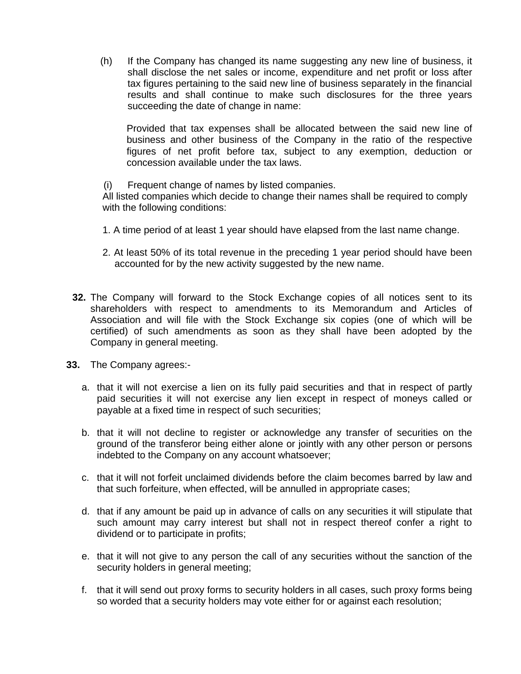(h) If the Company has changed its name suggesting any new line of business, it shall disclose the net sales or income, expenditure and net profit or loss after tax figures pertaining to the said new line of business separately in the financial results and shall continue to make such disclosures for the three years succeeding the date of change in name:

Provided that tax expenses shall be allocated between the said new line of business and other business of the Company in the ratio of the respective figures of net profit before tax, subject to any exemption, deduction or concession available under the tax laws.

(i) Frequent change of names by listed companies.

All listed companies which decide to change their names shall be required to comply with the following conditions:

- 1. A time period of at least 1 year should have elapsed from the last name change.
- 2. At least 50% of its total revenue in the preceding 1 year period should have been accounted for by the new activity suggested by the new name.
- **32.** The Company will forward to the Stock Exchange copies of all notices sent to its shareholders with respect to amendments to its Memorandum and Articles of Association and will file with the Stock Exchange six copies (one of which will be certified) of such amendments as soon as they shall have been adopted by the Company in general meeting.
- **33.** The Company agrees:
	- a. that it will not exercise a lien on its fully paid securities and that in respect of partly paid securities it will not exercise any lien except in respect of moneys called or payable at a fixed time in respect of such securities;
	- b. that it will not decline to register or acknowledge any transfer of securities on the ground of the transferor being either alone or jointly with any other person or persons indebted to the Company on any account whatsoever;
	- c. that it will not forfeit unclaimed dividends before the claim becomes barred by law and that such forfeiture, when effected, will be annulled in appropriate cases;
	- d. that if any amount be paid up in advance of calls on any securities it will stipulate that such amount may carry interest but shall not in respect thereof confer a right to dividend or to participate in profits;
	- e. that it will not give to any person the call of any securities without the sanction of the security holders in general meeting;
	- f. that it will send out proxy forms to security holders in all cases, such proxy forms being so worded that a security holders may vote either for or against each resolution;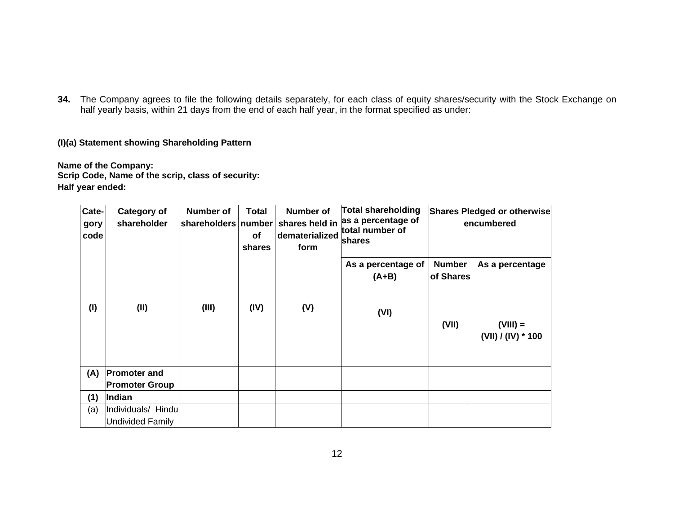**34.** The Company agrees to file the following details separately, for each class of equity shares/security with the Stock Exchange on half yearly basis, within 21 days from the end of each half year, in the format specified as under:

### **(I)(a) Statement showing Shareholding Pattern**

**Name of the Company: Scrip Code, Name of the scrip, class of security: Half year ended:**

| Cate-<br>gory<br>code | <b>Category of</b><br>shareholder | Number of<br>shareholders   number | Total<br>of<br>shares | Number of<br>shares held in<br>dematerialized<br>form | <b>Total shareholding</b><br>as a percentage of<br>total number of<br>lshares | Shares Pledged or otherwise<br>encumbered |                                  |
|-----------------------|-----------------------------------|------------------------------------|-----------------------|-------------------------------------------------------|-------------------------------------------------------------------------------|-------------------------------------------|----------------------------------|
|                       |                                   |                                    |                       |                                                       | As a percentage of                                                            | <b>Number</b>                             | As a percentage                  |
|                       |                                   |                                    |                       |                                                       | $(A+B)$                                                                       | of Shares                                 |                                  |
| (1)                   | (II)                              | (III)                              | (IV)                  | (V)                                                   | (VI)                                                                          | (VII)                                     | $(VIII) =$<br>(VII) / (IV) * 100 |
| (A)                   | <b>Promoter and</b>               |                                    |                       |                                                       |                                                                               |                                           |                                  |
|                       | <b>Promoter Group</b>             |                                    |                       |                                                       |                                                                               |                                           |                                  |
| (1)                   | Indian                            |                                    |                       |                                                       |                                                                               |                                           |                                  |
| (a)                   | Individuals/ Hindu                |                                    |                       |                                                       |                                                                               |                                           |                                  |
|                       | <b>Undivided Family</b>           |                                    |                       |                                                       |                                                                               |                                           |                                  |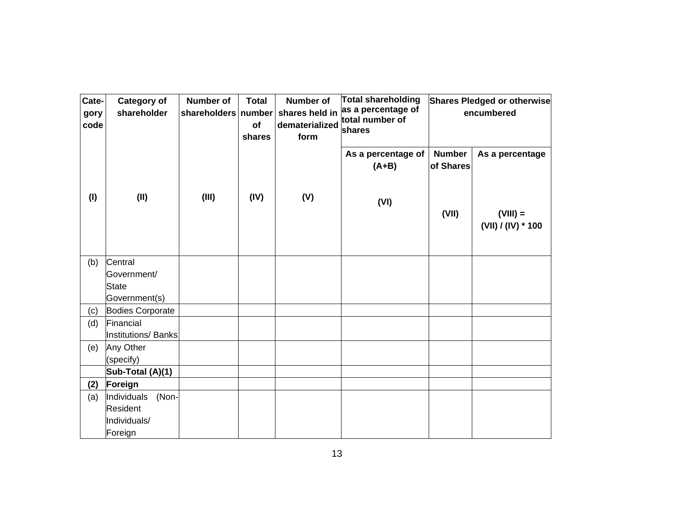| Cate-<br>gory<br>code | <b>Category of</b><br>shareholder                       | Number of<br>shareholders   number | <b>Total</b><br>of<br>shares | <b>Number of</b><br>shares held in<br>dematerialized<br>form | <b>Total shareholding</b><br>as a percentage of<br>total number of<br>shares |                            | Shares Pledged or otherwise<br>encumbered |
|-----------------------|---------------------------------------------------------|------------------------------------|------------------------------|--------------------------------------------------------------|------------------------------------------------------------------------------|----------------------------|-------------------------------------------|
|                       |                                                         |                                    |                              |                                                              | As a percentage of<br>$(A+B)$                                                | <b>Number</b><br>of Shares | As a percentage                           |
| (1)                   | (II)                                                    | (III)                              | (IV)                         | (V)                                                          | (VI)                                                                         | (VII)                      | $(VIII) =$<br>(VII) / (IV) * 100          |
| (b)                   | Central<br>Government/<br><b>State</b><br>Government(s) |                                    |                              |                                                              |                                                                              |                            |                                           |
| (c)                   | <b>Bodies Corporate</b>                                 |                                    |                              |                                                              |                                                                              |                            |                                           |
| (d)                   | Financial<br>Institutions/ Banks                        |                                    |                              |                                                              |                                                                              |                            |                                           |
| (e)                   | Any Other<br>(specify)                                  |                                    |                              |                                                              |                                                                              |                            |                                           |
|                       | Sub-Total (A)(1)                                        |                                    |                              |                                                              |                                                                              |                            |                                           |
| (2)                   | Foreign                                                 |                                    |                              |                                                              |                                                                              |                            |                                           |
| (a)                   | Individuals<br>(Non-                                    |                                    |                              |                                                              |                                                                              |                            |                                           |
|                       | Resident                                                |                                    |                              |                                                              |                                                                              |                            |                                           |
|                       | Individuals/                                            |                                    |                              |                                                              |                                                                              |                            |                                           |
|                       | Foreign                                                 |                                    |                              |                                                              |                                                                              |                            |                                           |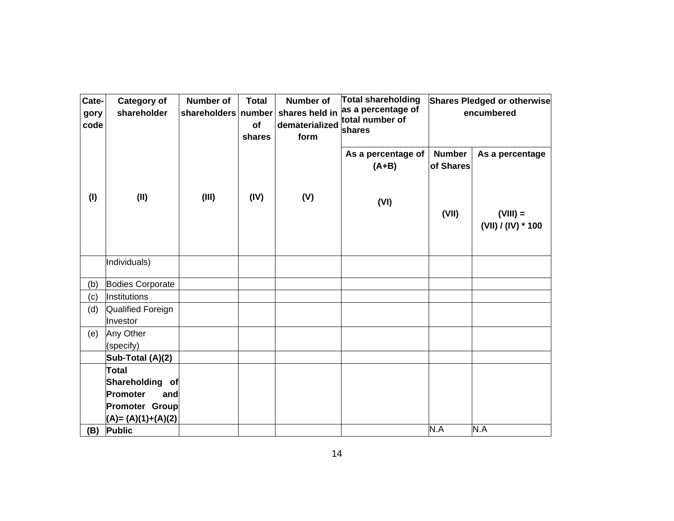| Cate-<br>gory<br>code | <b>Category of</b><br>shareholder | <b>Number of</b><br>shareholders number | <b>Total</b><br>of<br>shares | <b>Number of</b><br>shares held in<br>dematerialized<br>form | <b>Total shareholding</b><br>as a percentage of<br>total number of<br><b>shares</b> |                            | Shares Pledged or otherwise<br>encumbered |
|-----------------------|-----------------------------------|-----------------------------------------|------------------------------|--------------------------------------------------------------|-------------------------------------------------------------------------------------|----------------------------|-------------------------------------------|
|                       |                                   |                                         |                              |                                                              | As a percentage of<br>$(A+B)$                                                       | <b>Number</b><br>of Shares | As a percentage                           |
| (1)                   | (II)                              | (III)                                   | (IV)                         | (V)                                                          | (VI)                                                                                | (VII)                      | $(VIII) =$<br>(VII) / (IV) * 100          |
|                       | Individuals)                      |                                         |                              |                                                              |                                                                                     |                            |                                           |
| (b)                   | Bodies Corporate                  |                                         |                              |                                                              |                                                                                     |                            |                                           |
| (c)                   | Institutions                      |                                         |                              |                                                              |                                                                                     |                            |                                           |
| (d)                   | Qualified Foreign<br>Investor     |                                         |                              |                                                              |                                                                                     |                            |                                           |
| (e)                   | Any Other                         |                                         |                              |                                                              |                                                                                     |                            |                                           |
|                       | (specify)                         |                                         |                              |                                                              |                                                                                     |                            |                                           |
|                       | Sub-Total (A)(2)                  |                                         |                              |                                                              |                                                                                     |                            |                                           |
|                       | <b>Total</b>                      |                                         |                              |                                                              |                                                                                     |                            |                                           |
|                       | Shareholding of                   |                                         |                              |                                                              |                                                                                     |                            |                                           |
|                       | Promoter<br>and                   |                                         |                              |                                                              |                                                                                     |                            |                                           |
|                       | Promoter Group                    |                                         |                              |                                                              |                                                                                     |                            |                                           |
|                       | $(A)=(A)(1)+(A)(2)$               |                                         |                              |                                                              |                                                                                     | N.A                        | N.A                                       |
| (B)                   | <b>Public</b>                     |                                         |                              |                                                              |                                                                                     |                            |                                           |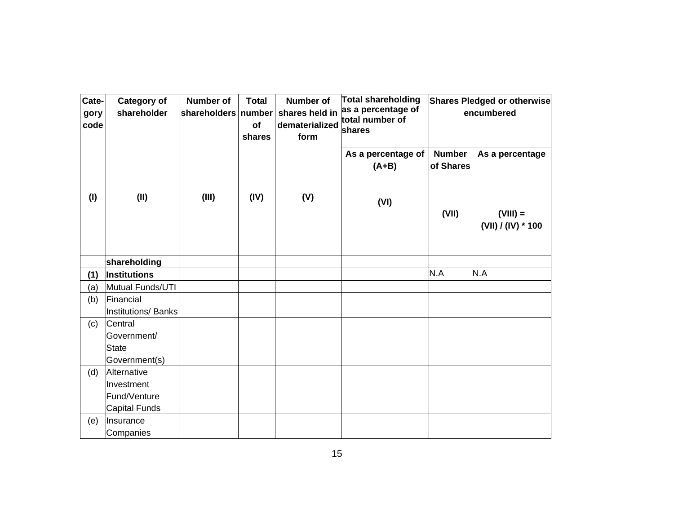| Cate-<br>gory<br>code | <b>Category of</b><br>shareholder | Number of<br>shareholders   number | <b>Total</b><br>of<br>shares | <b>Number of</b><br>shares held in<br>dematerialized<br>form | <b>Total shareholding</b><br>as a percentage of<br>total number of<br>shares |                            | Shares Pledged or otherwise<br>encumbered |
|-----------------------|-----------------------------------|------------------------------------|------------------------------|--------------------------------------------------------------|------------------------------------------------------------------------------|----------------------------|-------------------------------------------|
|                       |                                   |                                    |                              |                                                              | As a percentage of<br>$(A+B)$                                                | <b>Number</b><br>of Shares | As a percentage                           |
| (1)                   | (II)                              | (III)                              | (IV)                         | (V)                                                          | (VI)                                                                         | (VII)                      | $(VIII) =$<br>(VII) / (IV) * 100          |
|                       | shareholding                      |                                    |                              |                                                              |                                                                              |                            |                                           |
| (1)                   | <b>Institutions</b>               |                                    |                              |                                                              |                                                                              | N.A                        | N.A                                       |
| (a)                   | Mutual Funds/UTI                  |                                    |                              |                                                              |                                                                              |                            |                                           |
| (b)                   | Financial                         |                                    |                              |                                                              |                                                                              |                            |                                           |
|                       | <b>Institutions/Banks</b>         |                                    |                              |                                                              |                                                                              |                            |                                           |
| (c)                   | Central                           |                                    |                              |                                                              |                                                                              |                            |                                           |
|                       | Government/                       |                                    |                              |                                                              |                                                                              |                            |                                           |
|                       | <b>State</b>                      |                                    |                              |                                                              |                                                                              |                            |                                           |
|                       | Government(s)                     |                                    |                              |                                                              |                                                                              |                            |                                           |
| (d)                   | Alternative                       |                                    |                              |                                                              |                                                                              |                            |                                           |
|                       | Investment                        |                                    |                              |                                                              |                                                                              |                            |                                           |
|                       | Fund/Venture                      |                                    |                              |                                                              |                                                                              |                            |                                           |
|                       | <b>Capital Funds</b>              |                                    |                              |                                                              |                                                                              |                            |                                           |
| (e)                   | Insurance                         |                                    |                              |                                                              |                                                                              |                            |                                           |
|                       | Companies                         |                                    |                              |                                                              |                                                                              |                            |                                           |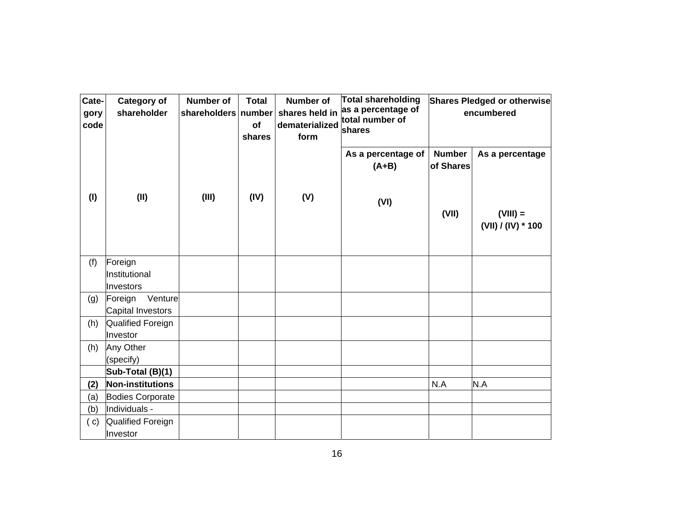| Cate-<br>gory<br>code | <b>Category of</b><br>shareholder        | <b>Number of</b><br>shareholders number | <b>Total</b><br>of<br>shares | <b>Number of</b><br>shares held in<br>dematerialized<br>form | <b>Total shareholding</b><br>as a percentage of<br>total number of<br>shares |                            | Shares Pledged or otherwise<br>encumbered |
|-----------------------|------------------------------------------|-----------------------------------------|------------------------------|--------------------------------------------------------------|------------------------------------------------------------------------------|----------------------------|-------------------------------------------|
|                       |                                          |                                         |                              |                                                              | As a percentage of<br>$(A+B)$                                                | <b>Number</b><br>of Shares | As a percentage                           |
| (1)                   | (II)                                     | (III)                                   | (IV)                         | (V)                                                          | (VI)                                                                         | (VII)                      | $(VIII) =$<br>(VII) / (IV) * 100          |
| (f)                   | Foreign<br>Institutional<br>Investors    |                                         |                              |                                                              |                                                                              |                            |                                           |
| (g)                   | Foreign<br>Venture<br>Capital Investors  |                                         |                              |                                                              |                                                                              |                            |                                           |
| (h)                   | Qualified Foreign<br>Investor            |                                         |                              |                                                              |                                                                              |                            |                                           |
| (h)                   | Any Other<br>(specify)                   |                                         |                              |                                                              |                                                                              |                            |                                           |
|                       | Sub-Total (B)(1)                         |                                         |                              |                                                              |                                                                              |                            |                                           |
| (2)                   | Non-institutions                         |                                         |                              |                                                              |                                                                              | N.A                        | N.A                                       |
| (a)                   | <b>Bodies Corporate</b><br>Individuals - |                                         |                              |                                                              |                                                                              |                            |                                           |
| (b)<br>(c)            | Qualified Foreign                        |                                         |                              |                                                              |                                                                              |                            |                                           |
|                       | Investor                                 |                                         |                              |                                                              |                                                                              |                            |                                           |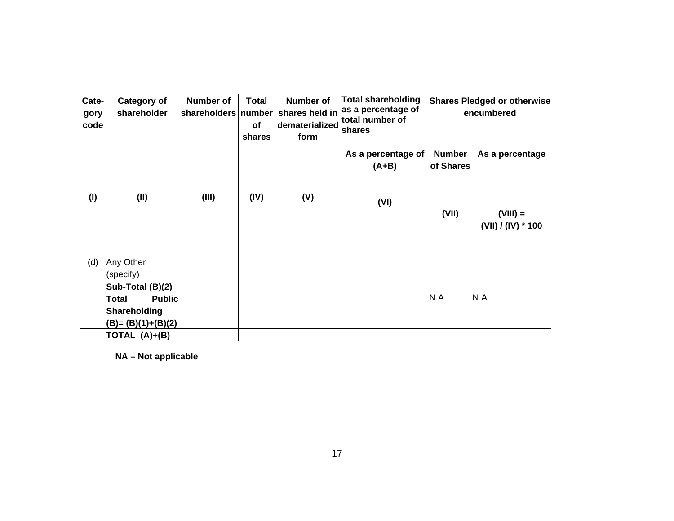| Cate-<br>gory<br>code | <b>Category of</b><br>shareholder   | <b>Number of</b><br>shareholders number | <b>Total</b><br>of<br>shares | <b>Number of</b><br>shares held in<br>dematerialized<br>form | <b>Total shareholding</b><br>as a percentage of<br>total number of<br><b>Ishares</b> | Shares Pledged or otherwise<br>encumbered |                                  |
|-----------------------|-------------------------------------|-----------------------------------------|------------------------------|--------------------------------------------------------------|--------------------------------------------------------------------------------------|-------------------------------------------|----------------------------------|
|                       |                                     |                                         |                              |                                                              | As a percentage of<br>$(A+B)$                                                        | <b>Number</b><br>of Shares                | As a percentage                  |
| (1)                   | (II)                                | (III)                                   | (IV)                         | (V)                                                          | (VI)                                                                                 | (VII)                                     | $(VIII) =$<br>(VII) / (IV) * 100 |
| (d)                   | Any Other<br>(specify)              |                                         |                              |                                                              |                                                                                      |                                           |                                  |
|                       | Sub-Total (B)(2)                    |                                         |                              |                                                              |                                                                                      |                                           |                                  |
|                       | <b>Public</b><br>Total              |                                         |                              |                                                              |                                                                                      | N.A                                       | N.A                              |
|                       | Shareholding<br>$(B)=(B)(1)+(B)(2)$ |                                         |                              |                                                              |                                                                                      |                                           |                                  |
|                       | TOTAL (A)+(B)                       |                                         |                              |                                                              |                                                                                      |                                           |                                  |

 **NA – Not applicable**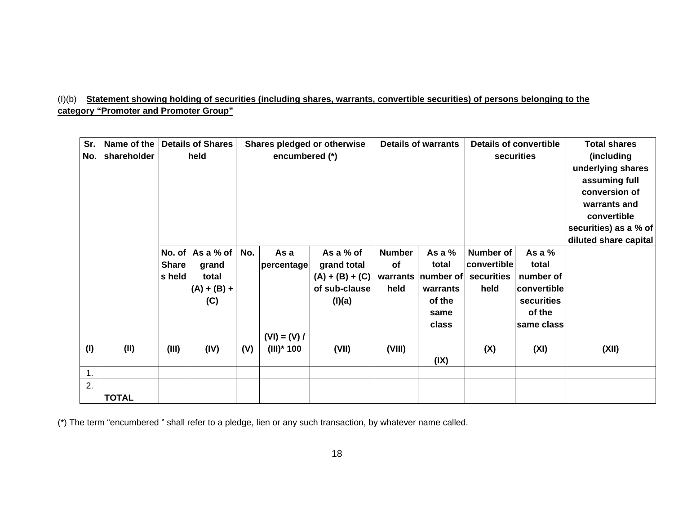# (I)(b) **Statement showing holding of securities (including shares, warrants, convertible securities) of persons belonging to the category "Promoter and Promoter Group"**

| Sr.<br>No. | Name of the<br>shareholder |              | <b>Details of Shares</b><br>held |     | Shares pledged or otherwise<br>encumbered (*) |                   | <b>Details of warrants</b> |                      | <b>Details of convertible</b><br>securities |             | <b>Total shares</b><br>(including |
|------------|----------------------------|--------------|----------------------------------|-----|-----------------------------------------------|-------------------|----------------------------|----------------------|---------------------------------------------|-------------|-----------------------------------|
|            |                            |              |                                  |     |                                               |                   |                            |                      |                                             |             | underlying shares                 |
|            |                            |              |                                  |     |                                               |                   |                            |                      |                                             |             | assuming full                     |
|            |                            |              |                                  |     |                                               |                   |                            |                      |                                             |             | conversion of                     |
|            |                            |              |                                  |     |                                               |                   |                            |                      |                                             |             | warrants and                      |
|            |                            |              |                                  |     |                                               |                   |                            |                      |                                             |             | convertible                       |
|            |                            |              |                                  |     |                                               |                   |                            |                      |                                             |             | securities) as a % of             |
|            |                            |              |                                  |     |                                               |                   |                            |                      |                                             |             | diluted share capital             |
|            |                            | No. of       | As a % of                        | No. | As a                                          | As a % of         | <b>Number</b>              | As a %               | Number of                                   | As a %      |                                   |
|            |                            | <b>Share</b> | grand                            |     | percentage                                    | grand total       | of                         | total                | convertible                                 | total       |                                   |
|            |                            | s held       | total                            |     |                                               | $(A) + (B) + (C)$ |                            | warrants   number of | securities                                  | number of   |                                   |
|            |                            |              | $(A) + (B) +$                    |     |                                               | of sub-clause     | held                       | warrants             | held                                        | convertible |                                   |
|            |                            |              | (C)                              |     |                                               | (I)(a)            |                            | of the               |                                             | securities  |                                   |
|            |                            |              |                                  |     |                                               |                   |                            | same                 |                                             | of the      |                                   |
|            |                            |              |                                  |     |                                               |                   |                            | class                |                                             | same class  |                                   |
|            |                            |              |                                  |     | $(VI) = (V) /$                                |                   |                            |                      |                                             |             |                                   |
| (1)        | (II)                       | (III)        | (IV)                             | (V) | $(III)^*$ 100                                 | (VII)             | (VIII)                     |                      | (X)                                         | (XI)        | (XII)                             |
|            |                            |              |                                  |     |                                               |                   |                            | (IX)                 |                                             |             |                                   |
| 1.         |                            |              |                                  |     |                                               |                   |                            |                      |                                             |             |                                   |
| 2.         |                            |              |                                  |     |                                               |                   |                            |                      |                                             |             |                                   |
|            | <b>TOTAL</b>               |              |                                  |     |                                               |                   |                            |                      |                                             |             |                                   |

(\*) The term "encumbered " shall refer to a pledge, lien or any such transaction, by whatever name called.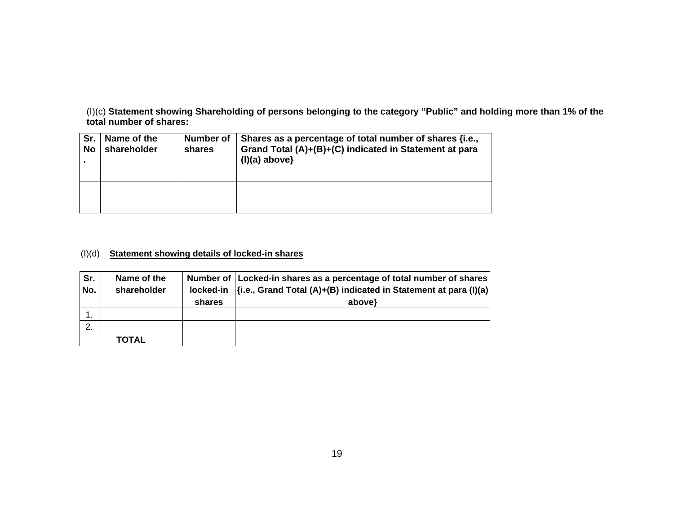(I)(c) **Statement showing Shareholding of persons belonging to the category "Public" and holding more than 1% of the total number of shares:** 

| Sr.<br><b>No</b> | Name of the<br>shareholder | Number of<br>shares | Shares as a percentage of total number of shares {i.e.,<br>Grand Total (A)+(B)+(C) indicated in Statement at para<br>$(I)(a)$ above} |
|------------------|----------------------------|---------------------|--------------------------------------------------------------------------------------------------------------------------------------|
|                  |                            |                     |                                                                                                                                      |
|                  |                            |                     |                                                                                                                                      |
|                  |                            |                     |                                                                                                                                      |

### (I)(d) **Statement showing details of locked-in shares**

| Sr. | Name of the  |        | Number of   Locked-in shares as a percentage of total number of shares                       |
|-----|--------------|--------|----------------------------------------------------------------------------------------------|
| No. | shareholder  |        | locked-in $\left  \{i.e., Grand Total (A)+(B) indicated in Statement at para (I)(a) \right $ |
|     |              | shares | above}                                                                                       |
|     |              |        |                                                                                              |
| 2.  |              |        |                                                                                              |
|     | <b>TOTAL</b> |        |                                                                                              |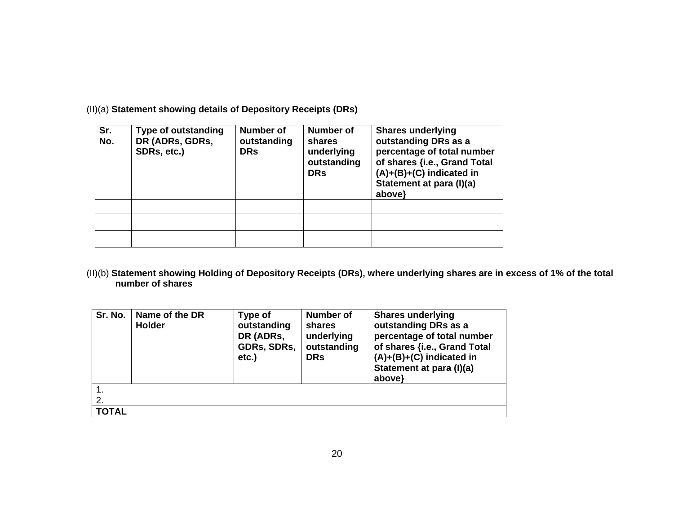(II)(a) **Statement showing details of Depository Receipts (DRs)**

| Sr.<br>No. | <b>Type of outstanding</b><br>DR (ADRs, GDRs,<br>SDRs, etc.) | <b>Number of</b><br>outstanding<br><b>DRs</b> | <b>Number of</b><br>shares<br>underlying<br>outstanding<br><b>DRs</b> | <b>Shares underlying</b><br>outstanding DRs as a<br>percentage of total number<br>of shares {i.e., Grand Total<br>$(A)+(B)+(C)$ indicated in<br>Statement at para (I)(a)<br>above} |
|------------|--------------------------------------------------------------|-----------------------------------------------|-----------------------------------------------------------------------|------------------------------------------------------------------------------------------------------------------------------------------------------------------------------------|
|            |                                                              |                                               |                                                                       |                                                                                                                                                                                    |
|            |                                                              |                                               |                                                                       |                                                                                                                                                                                    |
|            |                                                              |                                               |                                                                       |                                                                                                                                                                                    |

(II)(b) **Statement showing Holding of Depository Receipts (DRs), where underlying shares are in excess of 1% of the total number of shares**

| Sr. No.          | Name of the DR<br><b>Holder</b> | Type of<br>outstanding<br>DR (ADRS,<br>GDRs, SDRs,<br>etc.) | <b>Number of</b><br>shares<br>underlying<br>outstanding<br><b>DRs</b> | <b>Shares underlying</b><br>outstanding DRs as a<br>percentage of total number<br>of shares {i.e., Grand Total<br>$(A)+(B)+(C)$ indicated in<br>Statement at para (I)(a)<br>above} |
|------------------|---------------------------------|-------------------------------------------------------------|-----------------------------------------------------------------------|------------------------------------------------------------------------------------------------------------------------------------------------------------------------------------|
| $\overline{1}$ . |                                 |                                                             |                                                                       |                                                                                                                                                                                    |
| 2.               |                                 |                                                             |                                                                       |                                                                                                                                                                                    |
| <b>TOTAL</b>     |                                 |                                                             |                                                                       |                                                                                                                                                                                    |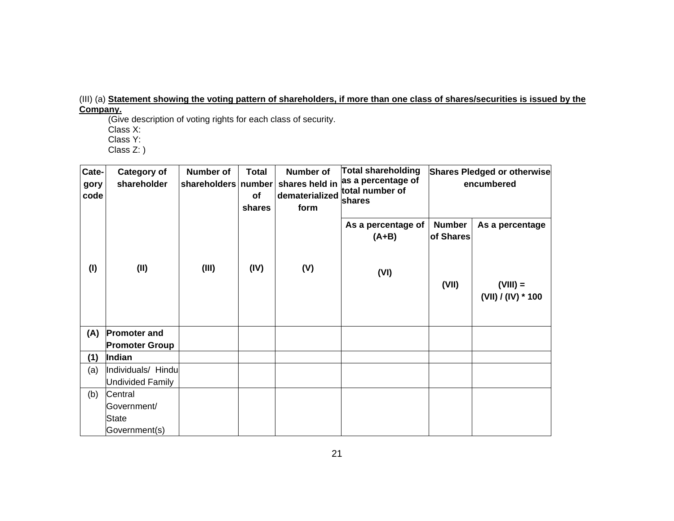### (III) (a) **Statement showing the voting pattern of shareholders, if more than one class of shares/securities is issued by the Company.**

(Give description of voting rights for each class of security. Class X: Class Y: Class Z: )

| Cate- | <b>Category of</b>      | <b>Number of</b>             | <b>Total</b> | <b>Number of</b> | <b>Total shareholding</b>             |               | Shares Pledged or otherwise      |
|-------|-------------------------|------------------------------|--------------|------------------|---------------------------------------|---------------|----------------------------------|
| gory  | shareholder             | shareholders   number        |              | shares held in   | as a percentage of<br>total number of | encumbered    |                                  |
| code  |                         |                              | of           | dematerialized   | lshares                               |               |                                  |
|       |                         |                              | shares       | form             |                                       |               |                                  |
|       |                         |                              |              |                  | As a percentage of                    | <b>Number</b> | As a percentage                  |
|       |                         |                              |              |                  | $(A+B)$                               | of Shares     |                                  |
|       |                         |                              |              |                  |                                       |               |                                  |
| (1)   | (II)                    | (III)<br>(IV)<br>(V)<br>(VI) |              |                  |                                       |               |                                  |
|       |                         |                              |              |                  |                                       | (VII)         | $(VIII) =$<br>(VII) / (IV) * 100 |
| (A)   | <b>Promoter and</b>     |                              |              |                  |                                       |               |                                  |
|       | <b>Promoter Group</b>   |                              |              |                  |                                       |               |                                  |
| (1)   | Indian                  |                              |              |                  |                                       |               |                                  |
| (a)   | Individuals/ Hindu      |                              |              |                  |                                       |               |                                  |
|       | <b>Undivided Family</b> |                              |              |                  |                                       |               |                                  |
| (b)   | Central                 |                              |              |                  |                                       |               |                                  |
|       | Government/             |                              |              |                  |                                       |               |                                  |
|       | State                   |                              |              |                  |                                       |               |                                  |
|       | Government(s)           |                              |              |                  |                                       |               |                                  |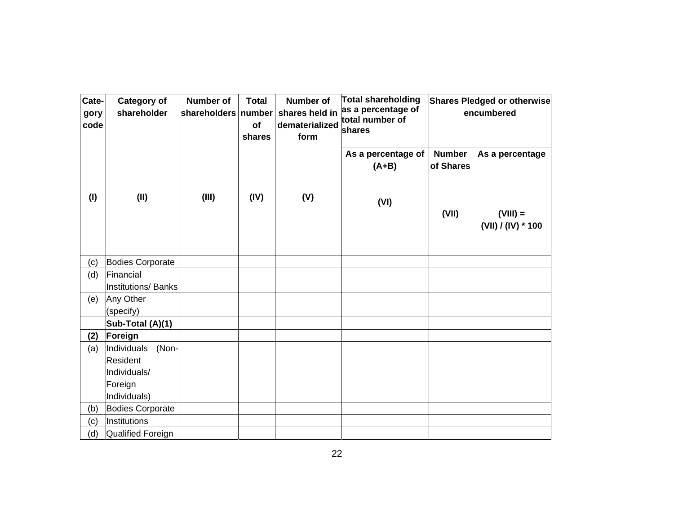| Cate-<br>gory<br>code | <b>Category of</b><br>shareholder | <b>Number of</b><br>shareholders   number | <b>Total</b><br>of<br>shares | <b>Number of</b><br>shares held in<br>dematerialized<br>form | <b>Total shareholding</b><br>as a percentage of<br>total number of<br>shares | Shares Pledged or otherwise<br>encumbered |                                  |
|-----------------------|-----------------------------------|-------------------------------------------|------------------------------|--------------------------------------------------------------|------------------------------------------------------------------------------|-------------------------------------------|----------------------------------|
|                       |                                   |                                           |                              |                                                              | As a percentage of<br>$(A+B)$                                                | <b>Number</b><br>of Shares                | As a percentage                  |
| (1)                   | (II)                              | (III)                                     | (IV)                         | (V)                                                          | (VI)                                                                         | (VII)                                     | $(VIII) =$<br>(VII) / (IV) * 100 |
| (c)                   | <b>Bodies Corporate</b>           |                                           |                              |                                                              |                                                                              |                                           |                                  |
| (d)                   | Financial<br>Institutions/Banks   |                                           |                              |                                                              |                                                                              |                                           |                                  |
| (e)                   | Any Other<br>(specify)            |                                           |                              |                                                              |                                                                              |                                           |                                  |
|                       | Sub-Total (A)(1)                  |                                           |                              |                                                              |                                                                              |                                           |                                  |
| (2)                   | Foreign                           |                                           |                              |                                                              |                                                                              |                                           |                                  |
| (a)                   | (Non-<br>Individuals              |                                           |                              |                                                              |                                                                              |                                           |                                  |
|                       | Resident                          |                                           |                              |                                                              |                                                                              |                                           |                                  |
|                       | Individuals/                      |                                           |                              |                                                              |                                                                              |                                           |                                  |
|                       | Foreign                           |                                           |                              |                                                              |                                                                              |                                           |                                  |
|                       | Individuals)                      |                                           |                              |                                                              |                                                                              |                                           |                                  |
| (b)                   | <b>Bodies Corporate</b>           |                                           |                              |                                                              |                                                                              |                                           |                                  |
| (c)                   | Institutions                      |                                           |                              |                                                              |                                                                              |                                           |                                  |
| (d)                   | Qualified Foreign                 |                                           |                              |                                                              |                                                                              |                                           |                                  |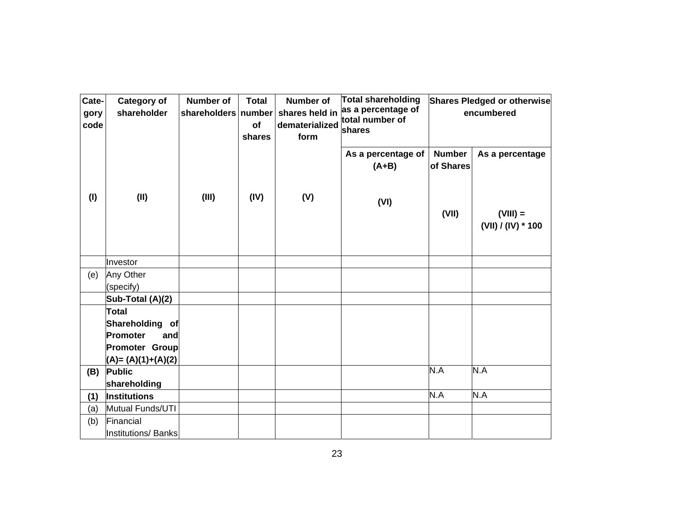| Cate-<br>gory<br>code | <b>Category of</b><br>shareholder | <b>Number of</b><br>shareholders   number | <b>Total</b><br>of<br>shares | <b>Number of</b><br>shares held in<br>dematerialized<br>form | <b>Total shareholding</b><br>as a percentage of<br>total number of<br>shares | Shares Pledged or otherwise<br>encumbered |                                  |
|-----------------------|-----------------------------------|-------------------------------------------|------------------------------|--------------------------------------------------------------|------------------------------------------------------------------------------|-------------------------------------------|----------------------------------|
|                       |                                   |                                           |                              |                                                              | As a percentage of<br>$(A+B)$                                                | <b>Number</b><br>of Shares                | As a percentage                  |
| (1)                   | (II)                              | (III)                                     | (IV)                         | (V)                                                          | (VI)                                                                         | (VII)                                     | $(VIII) =$<br>(VII) / (IV) * 100 |
|                       | Investor                          |                                           |                              |                                                              |                                                                              |                                           |                                  |
| (e)                   | Any Other                         |                                           |                              |                                                              |                                                                              |                                           |                                  |
|                       | (specify)                         |                                           |                              |                                                              |                                                                              |                                           |                                  |
|                       | Sub-Total (A)(2)                  |                                           |                              |                                                              |                                                                              |                                           |                                  |
|                       | <b>Total</b>                      |                                           |                              |                                                              |                                                                              |                                           |                                  |
|                       | Shareholding of                   |                                           |                              |                                                              |                                                                              |                                           |                                  |
|                       | Promoter<br>and                   |                                           |                              |                                                              |                                                                              |                                           |                                  |
|                       | <b>Promoter Group</b>             |                                           |                              |                                                              |                                                                              |                                           |                                  |
|                       | $(A)=(A)(1)+(A)(2)$               |                                           |                              |                                                              |                                                                              |                                           |                                  |
| (B)                   | <b>Public</b>                     |                                           |                              |                                                              |                                                                              | N.A                                       | N.A                              |
|                       | shareholding                      |                                           |                              |                                                              |                                                                              |                                           |                                  |
| (1)                   | <b>Institutions</b>               |                                           |                              |                                                              |                                                                              | N.A                                       | N.A                              |
| (a)                   | Mutual Funds/UTI                  |                                           |                              |                                                              |                                                                              |                                           |                                  |
| (b)                   | Financial                         |                                           |                              |                                                              |                                                                              |                                           |                                  |
|                       | <b>Institutions/ Banks</b>        |                                           |                              |                                                              |                                                                              |                                           |                                  |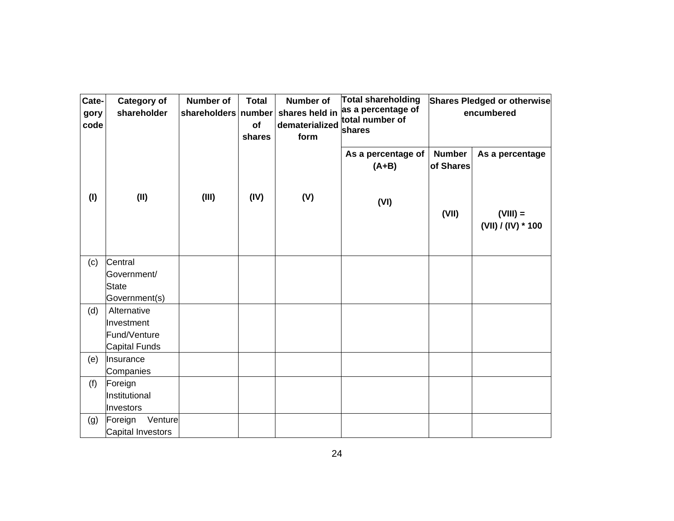| Cate-<br>gory<br>code | <b>Category of</b><br>shareholder                                 | <b>Number of</b><br>shareholders   number | <b>Total</b><br>of<br>shares | <b>Number of</b><br>shares held in<br>dematerialized<br>form | <b>Total shareholding</b><br>as a percentage of<br>total number of<br>shares | Shares Pledged or otherwise<br>encumbered |                                  |
|-----------------------|-------------------------------------------------------------------|-------------------------------------------|------------------------------|--------------------------------------------------------------|------------------------------------------------------------------------------|-------------------------------------------|----------------------------------|
|                       |                                                                   |                                           |                              |                                                              | As a percentage of<br>$(A+B)$                                                | <b>Number</b><br>of Shares                | As a percentage                  |
| (1)                   | (II)                                                              | (III)                                     | (IV)                         | (V)                                                          | (VI)                                                                         | (VII)                                     | $(VIII) =$<br>(VII) / (IV) * 100 |
| (c)                   | Central<br>Government/<br><b>State</b><br>Government(s)           |                                           |                              |                                                              |                                                                              |                                           |                                  |
| (d)                   | Alternative<br>Investment<br>Fund/Venture<br><b>Capital Funds</b> |                                           |                              |                                                              |                                                                              |                                           |                                  |
| (e)                   | Insurance<br>Companies                                            |                                           |                              |                                                              |                                                                              |                                           |                                  |
| (f)                   | Foreign<br>Institutional<br>Investors                             |                                           |                              |                                                              |                                                                              |                                           |                                  |
| (g)                   | Venture<br>Foreign<br>Capital Investors                           |                                           |                              |                                                              |                                                                              |                                           |                                  |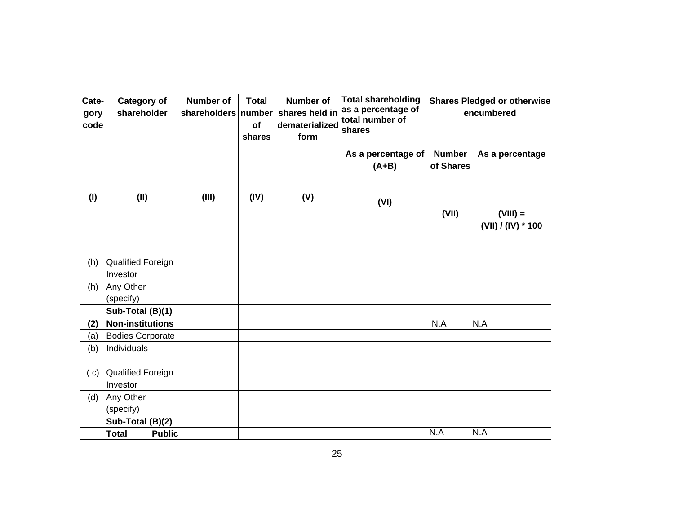| Cate-<br>gory<br>code | <b>Category of</b><br>shareholder | <b>Number of</b><br>shareholders   number | <b>Total</b><br>of<br>shares | <b>Number of</b><br>shares held in<br>dematerialized<br>form | <b>Total shareholding</b><br>as a percentage of<br>total number of<br>shares | Shares Pledged or otherwise<br>encumbered |                                  |
|-----------------------|-----------------------------------|-------------------------------------------|------------------------------|--------------------------------------------------------------|------------------------------------------------------------------------------|-------------------------------------------|----------------------------------|
|                       |                                   |                                           |                              |                                                              | As a percentage of<br>$(A+B)$                                                | <b>Number</b><br>of Shares                | As a percentage                  |
| (1)                   | (II)                              | (III)                                     | (IV)                         | (V)                                                          | (VI)                                                                         | (VII)                                     | $(VIII) =$<br>(VII) / (IV) * 100 |
| (h)                   | Qualified Foreign                 |                                           |                              |                                                              |                                                                              |                                           |                                  |
|                       | Investor                          |                                           |                              |                                                              |                                                                              |                                           |                                  |
| (h)                   | Any Other                         |                                           |                              |                                                              |                                                                              |                                           |                                  |
|                       | (specify)                         |                                           |                              |                                                              |                                                                              |                                           |                                  |
|                       | Sub-Total (B)(1)                  |                                           |                              |                                                              |                                                                              |                                           |                                  |
| (2)                   | Non-institutions                  |                                           |                              |                                                              |                                                                              | N.A                                       | N.A                              |
| (a)                   | <b>Bodies Corporate</b>           |                                           |                              |                                                              |                                                                              |                                           |                                  |
| (b)                   | Individuals -                     |                                           |                              |                                                              |                                                                              |                                           |                                  |
| (c)                   | Qualified Foreign                 |                                           |                              |                                                              |                                                                              |                                           |                                  |
|                       | Investor                          |                                           |                              |                                                              |                                                                              |                                           |                                  |
| (d)                   | Any Other                         |                                           |                              |                                                              |                                                                              |                                           |                                  |
|                       | (specify)                         |                                           |                              |                                                              |                                                                              |                                           |                                  |
|                       | Sub-Total (B)(2)                  |                                           |                              |                                                              |                                                                              |                                           |                                  |
|                       | <b>Public</b><br><b>Total</b>     |                                           |                              |                                                              |                                                                              | N.A                                       | N.A                              |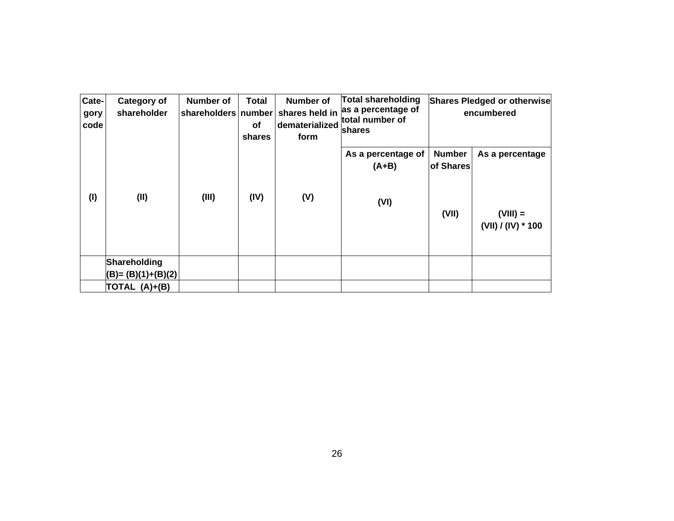| Cate-<br>gory<br>code | <b>Category of</b><br>shareholder   | <b>Number of</b><br>shareholders number | Total<br>of<br>shares | <b>Number of</b><br>shares held in<br>dematerialized<br>form | <b>Total shareholding</b><br>as a percentage of<br>total number of<br>shares |                            | Shares Pledged or otherwise<br>encumbered |
|-----------------------|-------------------------------------|-----------------------------------------|-----------------------|--------------------------------------------------------------|------------------------------------------------------------------------------|----------------------------|-------------------------------------------|
|                       |                                     |                                         |                       |                                                              | As a percentage of<br>$(A+B)$                                                | <b>Number</b><br>of Shares | As a percentage                           |
| (1)                   | (II)                                | (III)                                   | (IV)                  | (V)                                                          | (VI)                                                                         | (VII)                      | $(VIII) =$<br>(VII) / (IV) * 100          |
|                       | Shareholding<br>$(B)=(B)(1)+(B)(2)$ |                                         |                       |                                                              |                                                                              |                            |                                           |
|                       | $\overline{A}$ TOTAL $(A)+B$        |                                         |                       |                                                              |                                                                              |                            |                                           |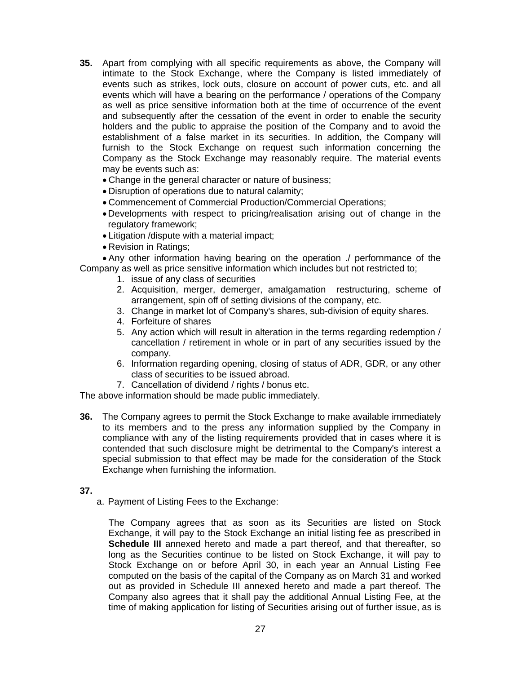- **35.** Apart from complying with all specific requirements as above, the Company will intimate to the Stock Exchange, where the Company is listed immediately of events such as strikes, lock outs, closure on account of power cuts, etc. and all events which will have a bearing on the performance / operations of the Company as well as price sensitive information both at the time of occurrence of the event and subsequently after the cessation of the event in order to enable the security holders and the public to appraise the position of the Company and to avoid the establishment of a false market in its securities. In addition, the Company will furnish to the Stock Exchange on request such information concerning the Company as the Stock Exchange may reasonably require. The material events may be events such as:
	- Change in the general character or nature of business;
	- Disruption of operations due to natural calamity;
	- Commencement of Commercial Production/Commercial Operations;
	- Developments with respect to pricing/realisation arising out of change in the regulatory framework;
	- Litigation / dispute with a material impact;
	- Revision in Ratings;

 Any other information having bearing on the operation ./ perfornmance of the Company as well as price sensitive information which includes but not restricted to;

- 1. issue of any class of securities
- 2. Acquisition, merger, demerger, amalgamation restructuring, scheme of arrangement, spin off of setting divisions of the company, etc.
- 3. Change in market lot of Company's shares, sub-division of equity shares.
- 4. Forfeiture of shares
- 5. Any action which will result in alteration in the terms regarding redemption / cancellation / retirement in whole or in part of any securities issued by the company.
- 6. Information regarding opening, closing of status of ADR, GDR, or any other class of securities to be issued abroad.
- 7. Cancellation of dividend / rights / bonus etc.

The above information should be made public immediately.

**36.** The Company agrees to permit the Stock Exchange to make available immediately to its members and to the press any information supplied by the Company in compliance with any of the listing requirements provided that in cases where it is contended that such disclosure might be detrimental to the Company's interest a special submission to that effect may be made for the consideration of the Stock Exchange when furnishing the information.

#### **37.**

a. Payment of Listing Fees to the Exchange:

The Company agrees that as soon as its Securities are listed on Stock Exchange, it will pay to the Stock Exchange an initial listing fee as prescribed in **Schedule III** annexed hereto and made a part thereof, and that thereafter, so long as the Securities continue to be listed on Stock Exchange, it will pay to Stock Exchange on or before April 30, in each year an Annual Listing Fee computed on the basis of the capital of the Company as on March 31 and worked out as provided in Schedule III annexed hereto and made a part thereof. The Company also agrees that it shall pay the additional Annual Listing Fee, at the time of making application for listing of Securities arising out of further issue, as is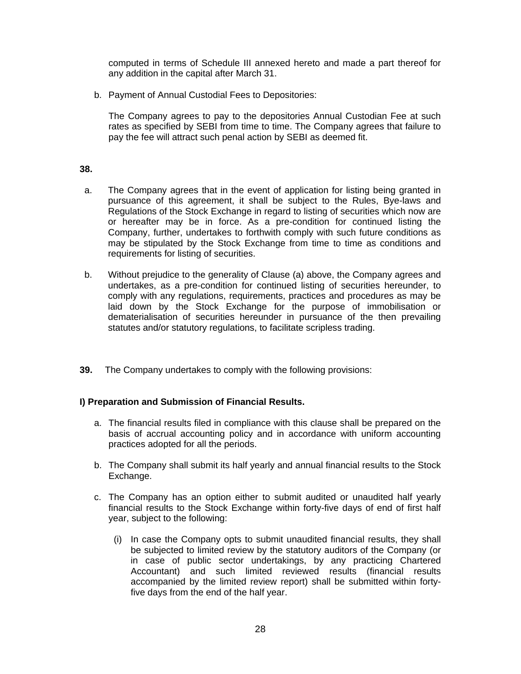computed in terms of Schedule III annexed hereto and made a part thereof for any addition in the capital after March 31.

b. Payment of Annual Custodial Fees to Depositories:

The Company agrees to pay to the depositories Annual Custodian Fee at such rates as specified by SEBI from time to time. The Company agrees that failure to pay the fee will attract such penal action by SEBI as deemed fit.

### **38.**

- a. The Company agrees that in the event of application for listing being granted in pursuance of this agreement, it shall be subject to the Rules, Bye-laws and Regulations of the Stock Exchange in regard to listing of securities which now are or hereafter may be in force. As a pre-condition for continued listing the Company, further, undertakes to forthwith comply with such future conditions as may be stipulated by the Stock Exchange from time to time as conditions and requirements for listing of securities.
- b. Without prejudice to the generality of Clause (a) above, the Company agrees and undertakes, as a pre-condition for continued listing of securities hereunder, to comply with any regulations, requirements, practices and procedures as may be laid down by the Stock Exchange for the purpose of immobilisation or dematerialisation of securities hereunder in pursuance of the then prevailing statutes and/or statutory regulations, to facilitate scripless trading.
- **39.** The Company undertakes to comply with the following provisions:

## **I) Preparation and Submission of Financial Results.**

- a. The financial results filed in compliance with this clause shall be prepared on the basis of accrual accounting policy and in accordance with uniform accounting practices adopted for all the periods.
- b. The Company shall submit its half yearly and annual financial results to the Stock Exchange.
- c. The Company has an option either to submit audited or unaudited half yearly financial results to the Stock Exchange within forty-five days of end of first half year, subject to the following:
	- (i) In case the Company opts to submit unaudited financial results, they shall be subjected to limited review by the statutory auditors of the Company (or in case of public sector undertakings, by any practicing Chartered Accountant) and such limited reviewed results (financial results accompanied by the limited review report) shall be submitted within fortyfive days from the end of the half year.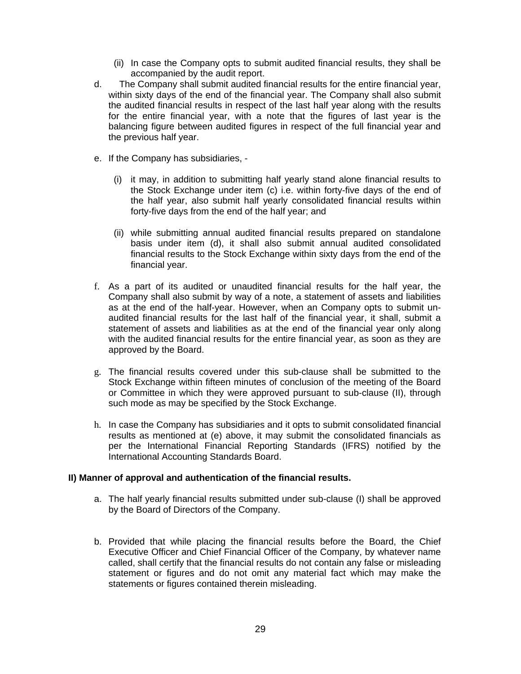- (ii) In case the Company opts to submit audited financial results, they shall be accompanied by the audit report.
- d. The Company shall submit audited financial results for the entire financial year, within sixty days of the end of the financial year. The Company shall also submit the audited financial results in respect of the last half year along with the results for the entire financial year, with a note that the figures of last year is the balancing figure between audited figures in respect of the full financial year and the previous half year.
- e. If the Company has subsidiaries,
	- (i) it may, in addition to submitting half yearly stand alone financial results to the Stock Exchange under item (c) i.e. within forty-five days of the end of the half year, also submit half yearly consolidated financial results within forty-five days from the end of the half year; and
	- (ii) while submitting annual audited financial results prepared on standalone basis under item (d), it shall also submit annual audited consolidated financial results to the Stock Exchange within sixty days from the end of the financial year.
- f. As a part of its audited or unaudited financial results for the half year, the Company shall also submit by way of a note, a statement of assets and liabilities as at the end of the half-year. However, when an Company opts to submit unaudited financial results for the last half of the financial year, it shall, submit a statement of assets and liabilities as at the end of the financial year only along with the audited financial results for the entire financial year, as soon as they are approved by the Board.
- g. The financial results covered under this sub-clause shall be submitted to the Stock Exchange within fifteen minutes of conclusion of the meeting of the Board or Committee in which they were approved pursuant to sub-clause (II), through such mode as may be specified by the Stock Exchange.
- h. In case the Company has subsidiaries and it opts to submit consolidated financial results as mentioned at (e) above, it may submit the consolidated financials as per the International Financial Reporting Standards (IFRS) notified by the International Accounting Standards Board.

#### **II) Manner of approval and authentication of the financial results.**

- a. The half yearly financial results submitted under sub-clause (I) shall be approved by the Board of Directors of the Company.
- b. Provided that while placing the financial results before the Board, the Chief Executive Officer and Chief Financial Officer of the Company, by whatever name called, shall certify that the financial results do not contain any false or misleading statement or figures and do not omit any material fact which may make the statements or figures contained therein misleading.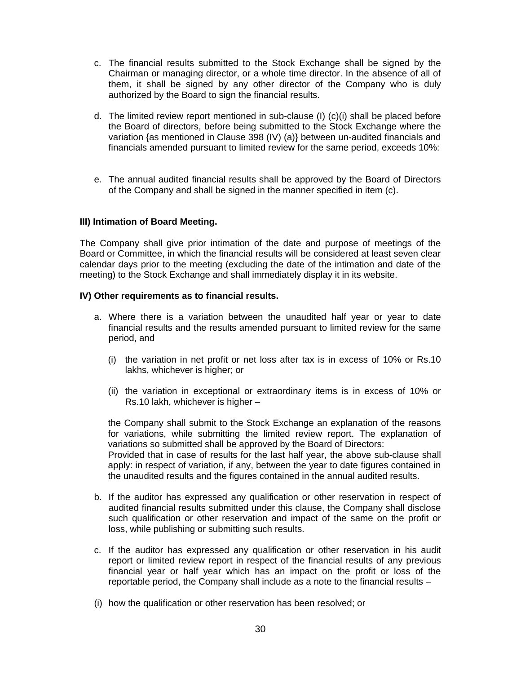- c. The financial results submitted to the Stock Exchange shall be signed by the Chairman or managing director, or a whole time director. In the absence of all of them, it shall be signed by any other director of the Company who is duly authorized by the Board to sign the financial results.
- d. The limited review report mentioned in sub-clause  $(l)$  (c)(i) shall be placed before the Board of directors, before being submitted to the Stock Exchange where the variation {as mentioned in Clause 398 (IV) (a)} between un-audited financials and financials amended pursuant to limited review for the same period, exceeds 10%:
- e. The annual audited financial results shall be approved by the Board of Directors of the Company and shall be signed in the manner specified in item (c).

### **III) Intimation of Board Meeting.**

The Company shall give prior intimation of the date and purpose of meetings of the Board or Committee, in which the financial results will be considered at least seven clear calendar days prior to the meeting (excluding the date of the intimation and date of the meeting) to the Stock Exchange and shall immediately display it in its website.

#### **IV) Other requirements as to financial results.**

- a. Where there is a variation between the unaudited half year or year to date financial results and the results amended pursuant to limited review for the same period, and
	- (i) the variation in net profit or net loss after tax is in excess of 10% or Rs.10 lakhs, whichever is higher; or
	- (ii) the variation in exceptional or extraordinary items is in excess of 10% or Rs.10 lakh, whichever is higher –

the Company shall submit to the Stock Exchange an explanation of the reasons for variations, while submitting the limited review report. The explanation of variations so submitted shall be approved by the Board of Directors: Provided that in case of results for the last half year, the above sub-clause shall apply: in respect of variation, if any, between the year to date figures contained in the unaudited results and the figures contained in the annual audited results.

- b. If the auditor has expressed any qualification or other reservation in respect of audited financial results submitted under this clause, the Company shall disclose such qualification or other reservation and impact of the same on the profit or loss, while publishing or submitting such results.
- c. If the auditor has expressed any qualification or other reservation in his audit report or limited review report in respect of the financial results of any previous financial year or half year which has an impact on the profit or loss of the reportable period, the Company shall include as a note to the financial results –
- (i) how the qualification or other reservation has been resolved; or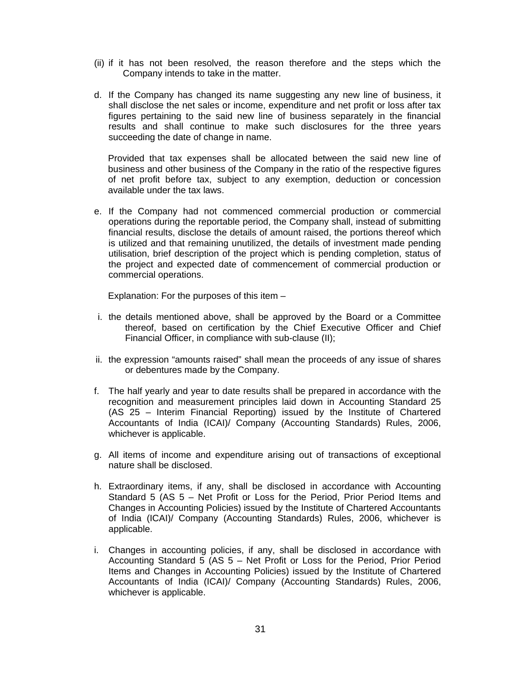- (ii) if it has not been resolved, the reason therefore and the steps which the Company intends to take in the matter.
- d. If the Company has changed its name suggesting any new line of business, it shall disclose the net sales or income, expenditure and net profit or loss after tax figures pertaining to the said new line of business separately in the financial results and shall continue to make such disclosures for the three years succeeding the date of change in name.

Provided that tax expenses shall be allocated between the said new line of business and other business of the Company in the ratio of the respective figures of net profit before tax, subject to any exemption, deduction or concession available under the tax laws.

e. If the Company had not commenced commercial production or commercial operations during the reportable period, the Company shall, instead of submitting financial results, disclose the details of amount raised, the portions thereof which is utilized and that remaining unutilized, the details of investment made pending utilisation, brief description of the project which is pending completion, status of the project and expected date of commencement of commercial production or commercial operations.

Explanation: For the purposes of this item –

- i. the details mentioned above, shall be approved by the Board or a Committee thereof, based on certification by the Chief Executive Officer and Chief Financial Officer, in compliance with sub-clause (II);
- ii. the expression "amounts raised" shall mean the proceeds of any issue of shares or debentures made by the Company.
- f. The half yearly and year to date results shall be prepared in accordance with the recognition and measurement principles laid down in Accounting Standard 25 (AS 25 – Interim Financial Reporting) issued by the Institute of Chartered Accountants of India (ICAI)/ Company (Accounting Standards) Rules, 2006, whichever is applicable.
- g. All items of income and expenditure arising out of transactions of exceptional nature shall be disclosed.
- h. Extraordinary items, if any, shall be disclosed in accordance with Accounting Standard 5 (AS 5 – Net Profit or Loss for the Period, Prior Period Items and Changes in Accounting Policies) issued by the Institute of Chartered Accountants of India (ICAI)/ Company (Accounting Standards) Rules, 2006, whichever is applicable.
- i. Changes in accounting policies, if any, shall be disclosed in accordance with Accounting Standard 5 (AS 5 – Net Profit or Loss for the Period, Prior Period Items and Changes in Accounting Policies) issued by the Institute of Chartered Accountants of India (ICAI)/ Company (Accounting Standards) Rules, 2006, whichever is applicable.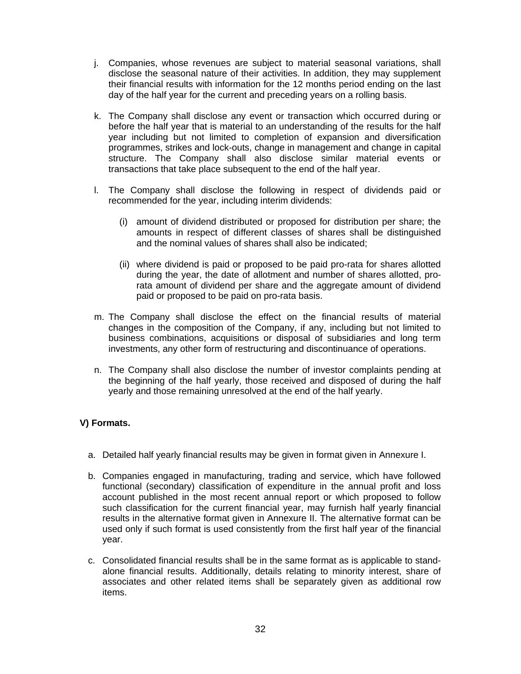- j. Companies, whose revenues are subject to material seasonal variations, shall disclose the seasonal nature of their activities. In addition, they may supplement their financial results with information for the 12 months period ending on the last day of the half year for the current and preceding years on a rolling basis.
- k. The Company shall disclose any event or transaction which occurred during or before the half year that is material to an understanding of the results for the half year including but not limited to completion of expansion and diversification programmes, strikes and lock-outs, change in management and change in capital structure. The Company shall also disclose similar material events or transactions that take place subsequent to the end of the half year.
- l. The Company shall disclose the following in respect of dividends paid or recommended for the year, including interim dividends:
	- (i) amount of dividend distributed or proposed for distribution per share; the amounts in respect of different classes of shares shall be distinguished and the nominal values of shares shall also be indicated;
	- (ii) where dividend is paid or proposed to be paid pro-rata for shares allotted during the year, the date of allotment and number of shares allotted, prorata amount of dividend per share and the aggregate amount of dividend paid or proposed to be paid on pro-rata basis.
- m. The Company shall disclose the effect on the financial results of material changes in the composition of the Company, if any, including but not limited to business combinations, acquisitions or disposal of subsidiaries and long term investments, any other form of restructuring and discontinuance of operations.
- n. The Company shall also disclose the number of investor complaints pending at the beginning of the half yearly, those received and disposed of during the half yearly and those remaining unresolved at the end of the half yearly.

## **V) Formats.**

- a. Detailed half yearly financial results may be given in format given in Annexure I.
- b. Companies engaged in manufacturing, trading and service, which have followed functional (secondary) classification of expenditure in the annual profit and loss account published in the most recent annual report or which proposed to follow such classification for the current financial year, may furnish half yearly financial results in the alternative format given in Annexure II. The alternative format can be used only if such format is used consistently from the first half year of the financial year.
- c. Consolidated financial results shall be in the same format as is applicable to standalone financial results. Additionally, details relating to minority interest, share of associates and other related items shall be separately given as additional row items.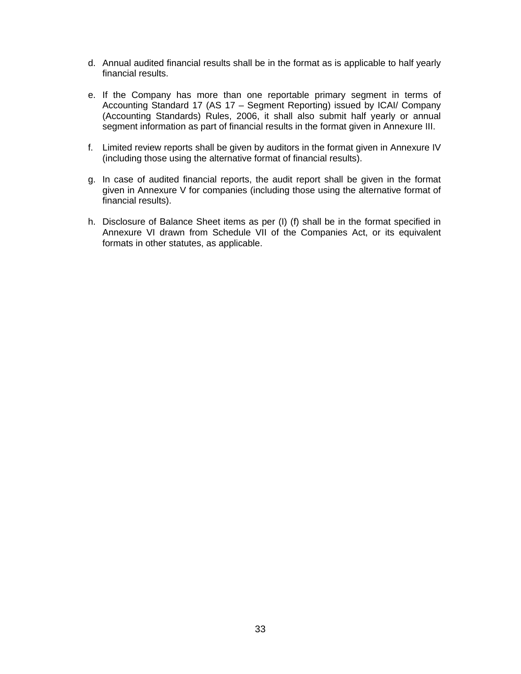- d. Annual audited financial results shall be in the format as is applicable to half yearly financial results.
- e. If the Company has more than one reportable primary segment in terms of Accounting Standard 17 (AS 17 – Segment Reporting) issued by ICAI/ Company (Accounting Standards) Rules, 2006, it shall also submit half yearly or annual segment information as part of financial results in the format given in Annexure III.
- f. Limited review reports shall be given by auditors in the format given in Annexure IV (including those using the alternative format of financial results).
- g. In case of audited financial reports, the audit report shall be given in the format given in Annexure V for companies (including those using the alternative format of financial results).
- h. Disclosure of Balance Sheet items as per (I) (f) shall be in the format specified in Annexure VI drawn from Schedule VII of the Companies Act, or its equivalent formats in other statutes, as applicable.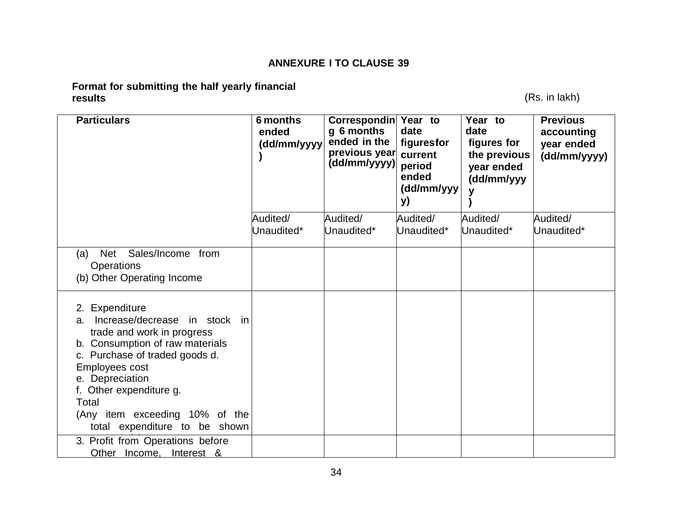## **ANNEXURE I TO CLAUSE 39**

**Format for submitting the half yearly financial results** (Rs. in lakh)

| <b>Particulars</b>                                                                                                                                                                                                                                                                                   | 6 months<br>ended<br>(dd/mm/yyyy | Correspondin Year to<br>g 6 months<br>ended in the<br>previous year<br>(dd/mm/yyyy) | date<br>figuresfor<br>current<br>period<br>ended<br>(dd/mm/yyy<br>y) | Year to<br>date<br>figures for<br>the previous<br>year ended<br>(dd/mm/yyy | <b>Previous</b><br>accounting<br>year ended<br>(dd/mm/yyyy) |
|------------------------------------------------------------------------------------------------------------------------------------------------------------------------------------------------------------------------------------------------------------------------------------------------------|----------------------------------|-------------------------------------------------------------------------------------|----------------------------------------------------------------------|----------------------------------------------------------------------------|-------------------------------------------------------------|
|                                                                                                                                                                                                                                                                                                      | Audited/                         | Audited/                                                                            | Audited/                                                             | Audited/                                                                   | Audited/                                                    |
|                                                                                                                                                                                                                                                                                                      | Unaudited*                       | Unaudited*                                                                          | Unaudited*                                                           | Unaudited*                                                                 | Unaudited*                                                  |
| Sales/Income from<br><b>Net</b><br>(a)<br>Operations<br>(b) Other Operating Income                                                                                                                                                                                                                   |                                  |                                                                                     |                                                                      |                                                                            |                                                             |
| 2. Expenditure<br>Increase/decrease in stock in<br>a.<br>trade and work in progress<br>b. Consumption of raw materials<br>c. Purchase of traded goods d.<br>Employees cost<br>e. Depreciation<br>f. Other expenditure g.<br>Total<br>(Any item exceeding 10% of the<br>total expenditure to be shown |                                  |                                                                                     |                                                                      |                                                                            |                                                             |
| 3. Profit from Operations before<br>Other Income, Interest &                                                                                                                                                                                                                                         |                                  |                                                                                     |                                                                      |                                                                            |                                                             |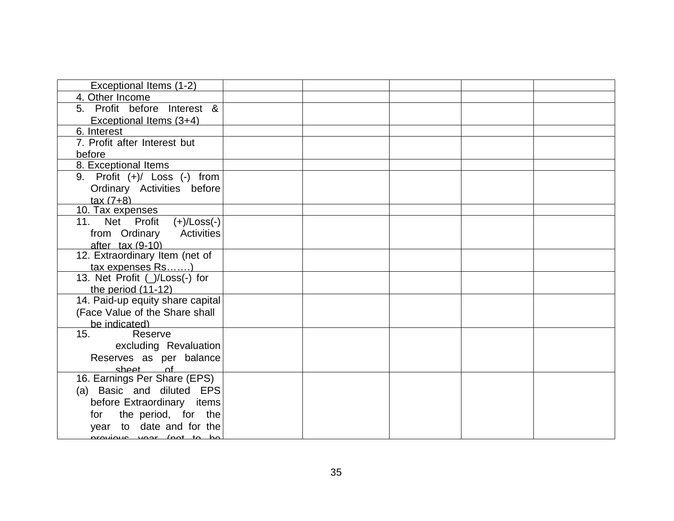| Exceptional Items (1-2)          |  |  |  |
|----------------------------------|--|--|--|
| 4. Other Income                  |  |  |  |
| 5. Profit before Interest &      |  |  |  |
| Exceptional Items (3+4)          |  |  |  |
| 6. Interest                      |  |  |  |
| 7. Profit after Interest but     |  |  |  |
| before                           |  |  |  |
| 8. Exceptional Items             |  |  |  |
| 9. Profit $(+)/$ Loss $(-)$ from |  |  |  |
| Ordinary Activities before       |  |  |  |
| $tax (7+8)$                      |  |  |  |
| 10. Tax expenses                 |  |  |  |
| 11. Net Profit (+)/Loss(-)       |  |  |  |
| from Ordinary Activities         |  |  |  |
| after $tax(9-10)$                |  |  |  |
| 12. Extraordinary Item (net of   |  |  |  |
| tax expenses Rs)                 |  |  |  |
| 13. Net Profit (_)/Loss(-) for   |  |  |  |
| the period $(11-12)$             |  |  |  |
| 14. Paid-up equity share capital |  |  |  |
| (Face Value of the Share shall   |  |  |  |
| be indicated)                    |  |  |  |
| 15.<br>Reserve                   |  |  |  |
| excluding Revaluation            |  |  |  |
| Reserves as per balance          |  |  |  |
| sheet of                         |  |  |  |
| 16. Earnings Per Share (EPS)     |  |  |  |
| (a) Basic and diluted EPS        |  |  |  |
| before Extraordinary items       |  |  |  |
| for the period, for the          |  |  |  |
| year to date and for the         |  |  |  |
| provisue voor (pot to be         |  |  |  |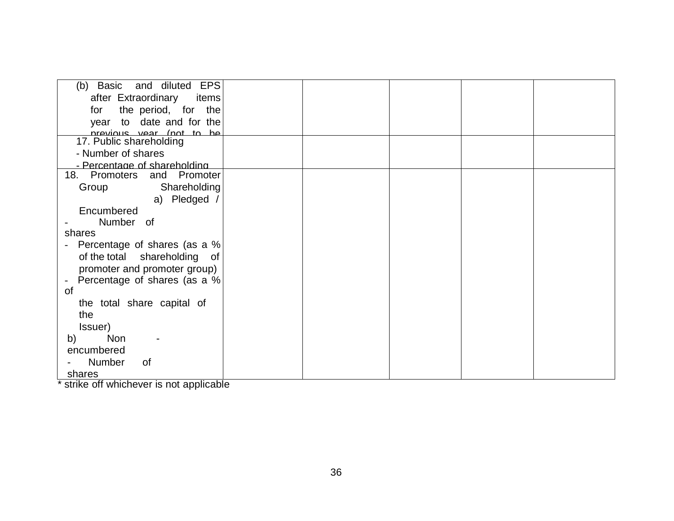| (b) Basic and diluted EPS       |  |  |  |
|---------------------------------|--|--|--|
| after Extraordinary<br>items    |  |  |  |
| the period, for the<br>for      |  |  |  |
| year to date and for the        |  |  |  |
| provinue your (not to be        |  |  |  |
| 17. Public shareholding         |  |  |  |
| - Number of shares              |  |  |  |
| - Percentage of shareholding    |  |  |  |
| 18. Promoters<br>and Promoter   |  |  |  |
| Shareholding<br>Group           |  |  |  |
| a) Pledged /                    |  |  |  |
| Encumbered                      |  |  |  |
| Number of                       |  |  |  |
| shares                          |  |  |  |
| - Percentage of shares (as a %  |  |  |  |
| of the total shareholding<br>of |  |  |  |
| promoter and promoter group)    |  |  |  |
| Percentage of shares (as a %    |  |  |  |
| <b>of</b>                       |  |  |  |
| the total share capital of      |  |  |  |
| the                             |  |  |  |
| Issuer)                         |  |  |  |
| Non<br>b)                       |  |  |  |
| encumbered                      |  |  |  |
| <b>Number</b><br>0f             |  |  |  |
| shares                          |  |  |  |
|                                 |  |  |  |

shares \* strike off whichever is not applicable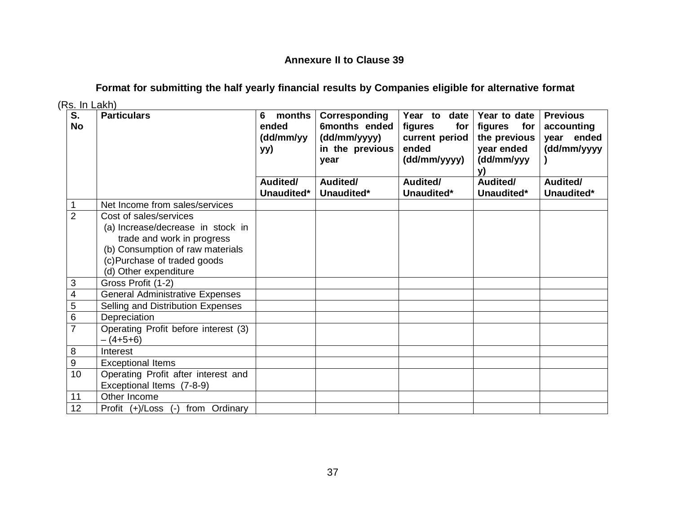## **Annexure II to Clause 39**

**Format for submitting the half yearly financial results by Companies eligible for alternative format**

(Rs. In Lakh)

| s. III Lanii<br>$\overline{\mathsf{s}}$ .<br><b>No</b> | <b>Particulars</b>                                                                                                                                                                    | 6<br>months<br>ended<br>(dd/mm/yy<br>yy) | Corresponding<br>6months ended<br>(dd/mm/yyyy)<br>in the previous<br>year | Year to date<br>figures<br>for<br>current period<br>ended<br>(dd/mm/yyyy) | Year to date<br>figures<br>for<br>the previous<br>year ended<br>(dd/mm/yyy<br>y) | <b>Previous</b><br>accounting<br>year ended<br>(dd/mm/yyyy |
|--------------------------------------------------------|---------------------------------------------------------------------------------------------------------------------------------------------------------------------------------------|------------------------------------------|---------------------------------------------------------------------------|---------------------------------------------------------------------------|----------------------------------------------------------------------------------|------------------------------------------------------------|
|                                                        |                                                                                                                                                                                       | Audited/<br>Unaudited*                   | Audited/<br>Unaudited*                                                    | Audited/<br>Unaudited*                                                    | Audited/<br>Unaudited*                                                           | Audited/<br>Unaudited*                                     |
| 1                                                      | Net Income from sales/services                                                                                                                                                        |                                          |                                                                           |                                                                           |                                                                                  |                                                            |
| $\overline{2}$                                         | Cost of sales/services<br>(a) Increase/decrease in stock in<br>trade and work in progress<br>(b) Consumption of raw materials<br>(c)Purchase of traded goods<br>(d) Other expenditure |                                          |                                                                           |                                                                           |                                                                                  |                                                            |
| 3                                                      | Gross Profit (1-2)                                                                                                                                                                    |                                          |                                                                           |                                                                           |                                                                                  |                                                            |
| 4                                                      | <b>General Administrative Expenses</b>                                                                                                                                                |                                          |                                                                           |                                                                           |                                                                                  |                                                            |
| 5                                                      | Selling and Distribution Expenses                                                                                                                                                     |                                          |                                                                           |                                                                           |                                                                                  |                                                            |
| $6\phantom{1}6$                                        | Depreciation                                                                                                                                                                          |                                          |                                                                           |                                                                           |                                                                                  |                                                            |
| $\overline{7}$                                         | Operating Profit before interest (3)<br>$-(4+5+6)$                                                                                                                                    |                                          |                                                                           |                                                                           |                                                                                  |                                                            |
| 8                                                      | Interest                                                                                                                                                                              |                                          |                                                                           |                                                                           |                                                                                  |                                                            |
| 9                                                      | <b>Exceptional Items</b>                                                                                                                                                              |                                          |                                                                           |                                                                           |                                                                                  |                                                            |
| 10                                                     | Operating Profit after interest and<br>Exceptional Items (7-8-9)                                                                                                                      |                                          |                                                                           |                                                                           |                                                                                  |                                                            |
| 11                                                     | Other Income                                                                                                                                                                          |                                          |                                                                           |                                                                           |                                                                                  |                                                            |
| 12                                                     | from Ordinary<br>Profit (+)/Loss<br>$(-)$                                                                                                                                             |                                          |                                                                           |                                                                           |                                                                                  |                                                            |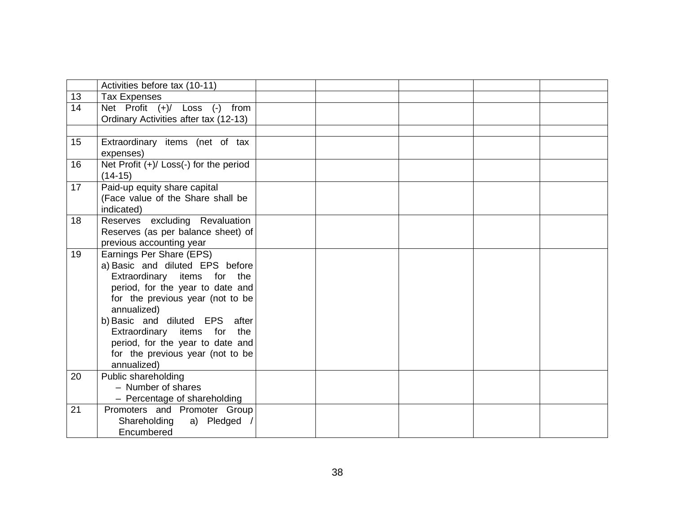|    | Activities before tax (10-11)                                |  |  |  |
|----|--------------------------------------------------------------|--|--|--|
| 13 | <b>Tax Expenses</b>                                          |  |  |  |
| 14 | Net Profit (+)/ Loss (-)<br>from                             |  |  |  |
|    | Ordinary Activities after tax (12-13)                        |  |  |  |
|    |                                                              |  |  |  |
| 15 | Extraordinary items (net of tax                              |  |  |  |
|    | expenses)                                                    |  |  |  |
| 16 | Net Profit $(+)/$ Loss(-) for the period                     |  |  |  |
|    | $(14-15)$                                                    |  |  |  |
| 17 | Paid-up equity share capital                                 |  |  |  |
|    | (Face value of the Share shall be                            |  |  |  |
|    | indicated)                                                   |  |  |  |
| 18 | Reserves excluding Revaluation                               |  |  |  |
|    | Reserves (as per balance sheet) of                           |  |  |  |
|    | previous accounting year                                     |  |  |  |
| 19 | Earnings Per Share (EPS)                                     |  |  |  |
|    | a) Basic and diluted EPS before                              |  |  |  |
|    | Extraordinary items<br>for<br>the                            |  |  |  |
|    | period, for the year to date and                             |  |  |  |
|    | for the previous year (not to be                             |  |  |  |
|    | annualized)                                                  |  |  |  |
|    | b) Basic and diluted EPS after                               |  |  |  |
|    | Extraordinary items for<br>the                               |  |  |  |
|    | period, for the year to date and                             |  |  |  |
|    | for the previous year (not to be                             |  |  |  |
|    | annualized)                                                  |  |  |  |
| 20 | Public shareholding<br>- Number of shares                    |  |  |  |
|    |                                                              |  |  |  |
| 21 | - Percentage of shareholding<br>Promoters and Promoter Group |  |  |  |
|    | a) Pledged /                                                 |  |  |  |
|    | Shareholding<br>Encumbered                                   |  |  |  |
|    |                                                              |  |  |  |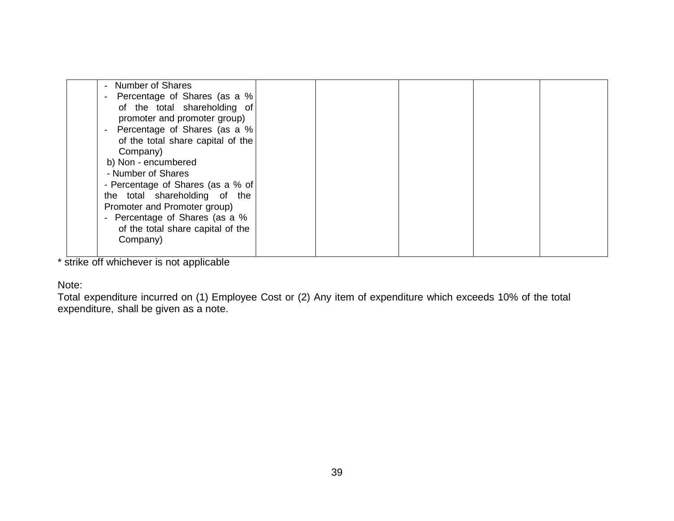| <b>Number of Shares</b><br>Percentage of Shares (as a %<br>of the total shareholding of<br>promoter and promoter group)<br>Percentage of Shares (as a %<br>of the total share capital of the<br>Company)<br>b) Non - encumbered<br>- Number of Shares<br>- Percentage of Shares (as a % of<br>the total shareholding of the<br>Promoter and Promoter group)<br>- Percentage of Shares (as a %<br>of the total share capital of the<br>Company) |  |  |  |
|------------------------------------------------------------------------------------------------------------------------------------------------------------------------------------------------------------------------------------------------------------------------------------------------------------------------------------------------------------------------------------------------------------------------------------------------|--|--|--|
|------------------------------------------------------------------------------------------------------------------------------------------------------------------------------------------------------------------------------------------------------------------------------------------------------------------------------------------------------------------------------------------------------------------------------------------------|--|--|--|

\* strike off whichever is not applicable

Note:

 Total expenditure incurred on (1) Employee Cost or (2) Any item of expenditure which exceeds 10% of the total expenditure, shall be given as a note.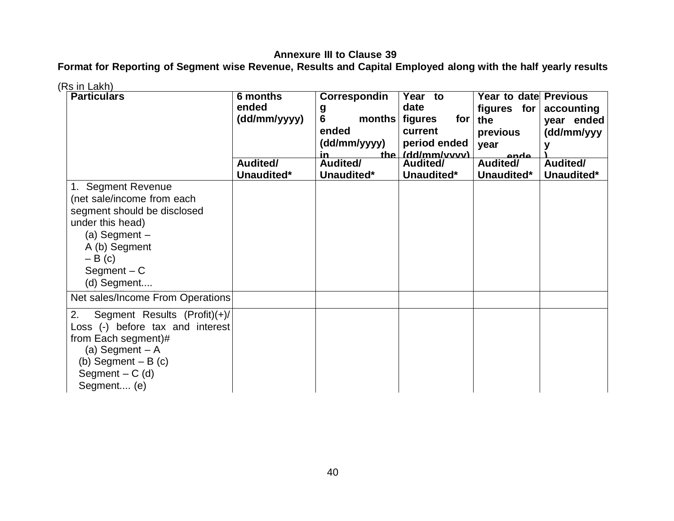# **Annexure III to Clause 39**

**Format for Reporting of Segment wise Revenue, Results and Capital Employed along with the half yearly results**

| (Rs in Lakh)                                                                                                                                                                       |              |                               |                               |                          |                        |
|------------------------------------------------------------------------------------------------------------------------------------------------------------------------------------|--------------|-------------------------------|-------------------------------|--------------------------|------------------------|
| <b>Particulars</b>                                                                                                                                                                 | 6 months     | Correspondin                  | Year to                       | Year to date Previous    |                        |
|                                                                                                                                                                                    | ended        | g                             | date                          | figures for              | accounting             |
|                                                                                                                                                                                    | (dd/mm/yyyy) | 6<br>months                   | figures<br>for $ $            | the                      | year ended             |
|                                                                                                                                                                                    |              | ended                         | current                       | previous                 | (dd/mm/yyy             |
|                                                                                                                                                                                    |              | (dd/mm/yyyy)                  | period ended                  | year                     | y                      |
|                                                                                                                                                                                    | Audited/     |                               | the (dd/mm/vyyy)              | <u>anda </u><br>Audited/ |                        |
|                                                                                                                                                                                    | Unaudited*   | <b>Audited/</b><br>Unaudited* | <b>Audited/</b><br>Unaudited* | Unaudited*               | Audited/<br>Unaudited* |
| 1. Segment Revenue<br>(net sale/income from each<br>segment should be disclosed<br>under this head)<br>(a) Segment $-$<br>A (b) Segment<br>$- B(c)$<br>Segment $-C$<br>(d) Segment |              |                               |                               |                          |                        |
| Net sales/Income From Operations                                                                                                                                                   |              |                               |                               |                          |                        |
| 2.<br>Segment Results (Profit)(+)/<br>Loss (-) before tax and interest<br>from Each segment)#<br>(a) Segment $- A$<br>(b) Segment $- B(c)$<br>Segment $-C(d)$<br>Segment (e)       |              |                               |                               |                          |                        |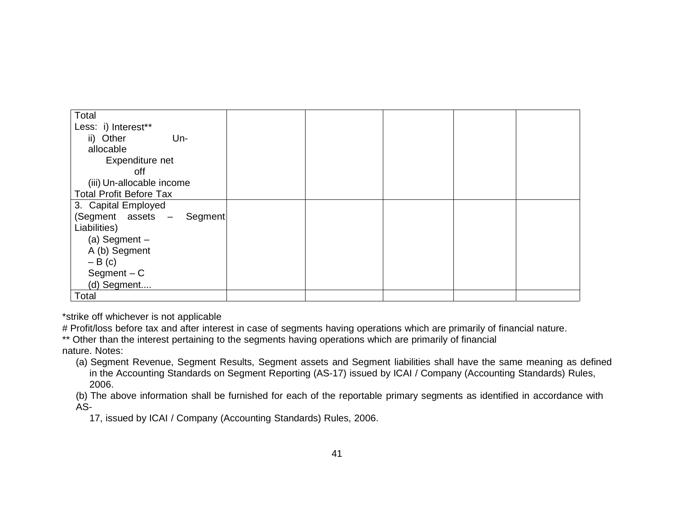| Total                          |  |  |  |
|--------------------------------|--|--|--|
| Less: i) Interest**            |  |  |  |
| ii) Other<br>Un-               |  |  |  |
| allocable                      |  |  |  |
| Expenditure net                |  |  |  |
| off                            |  |  |  |
| (iii) Un-allocable income      |  |  |  |
| <b>Total Profit Before Tax</b> |  |  |  |
| 3. Capital Employed            |  |  |  |
| (Segment assets - Segment      |  |  |  |
| Liabilities)                   |  |  |  |
| (a) Segment $-$                |  |  |  |
| A (b) Segment                  |  |  |  |
| $- B(c)$                       |  |  |  |
| Segment $- C$                  |  |  |  |
| (d) Segment                    |  |  |  |
| Total                          |  |  |  |

\*strike off whichever is not applicable

# Profit/loss before tax and after interest in case of segments having operations which are primarily of financial nature.

\*\* Other than the interest pertaining to the segments having operations which are primarily of financial

nature. Notes:

(a) Segment Revenue, Segment Results, Segment assets and Segment liabilities shall have the same meaning as defined in the Accounting Standards on Segment Reporting (AS-17) issued by ICAI / Company (Accounting Standards) Rules, 2006.

(b) The above information shall be furnished for each of the reportable primary segments as identified in accordance with AS-

17, issued by ICAI / Company (Accounting Standards) Rules, 2006.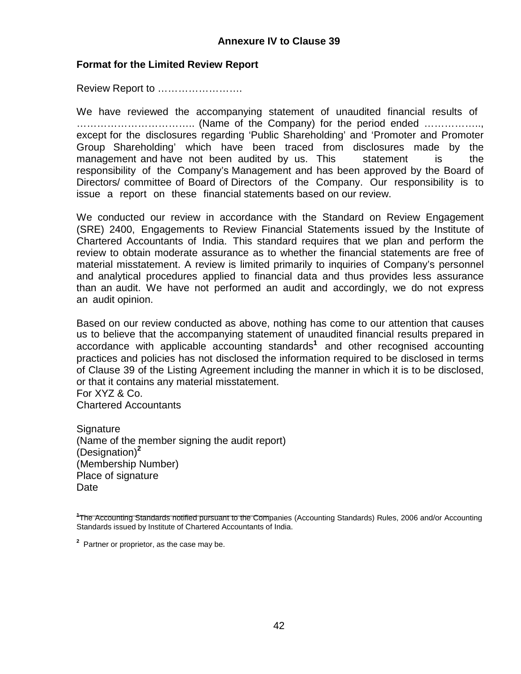# **Format for the Limited Review Report**

Review Report to …………………….

We have reviewed the accompanying statement of unaudited financial results of …………………………….. (Name of the Company) for the period ended …………….., except for the disclosures regarding 'Public Shareholding' and 'Promoter and Promoter Group Shareholding' which have been traced from disclosures made by the management and have not been audited by us. This statement is the responsibility of the Company's Management and has been approved by the Board of Directors/ committee of Board of Directors of the Company. Our responsibility is to issue a report on these financial statements based on our review.

We conducted our review in accordance with the Standard on Review Engagement (SRE) 2400, Engagements to Review Financial Statements issued by the Institute of Chartered Accountants of India. This standard requires that we plan and perform the review to obtain moderate assurance as to whether the financial statements are free of material misstatement. A review is limited primarily to inquiries of Company's personnel and analytical procedures applied to financial data and thus provides less assurance than an audit. We have not performed an audit and accordingly, we do not express an audit opinion.

Based on our review conducted as above, nothing has come to our attention that causes us to believe that the accompanying statement of unaudited financial results prepared in accordance with applicable accounting standards**<sup>1</sup>**and other recognised accounting practices and policies has not disclosed the information required to be disclosed in terms of Clause 39 of the Listing Agreement including the manner in which it is to be disclosed, or that it contains any material misstatement. For XYZ & Co.

Chartered Accountants

**Signature** (Name of the member signing the audit report) (Designation)**<sup>2</sup>** (Membership Number) Place of signature Date

**<sup>1</sup>** The Accounting Standards notified pursuant to the Companies (Accounting Standards) Rules, 2006 and/or Accounting Standards issued by Institute of Chartered Accountants of India.

<sup>&</sup>lt;sup>2</sup> Partner or proprietor, as the case may be.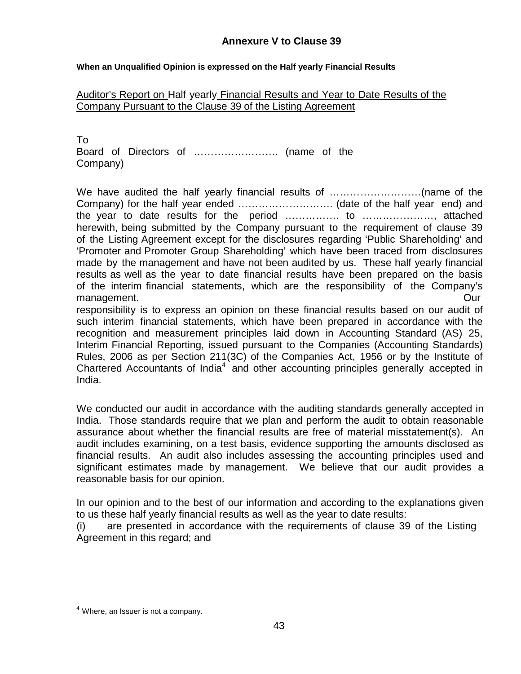# **Annexure V to Clause 39**

## **When an Unqualified Opinion is expressed on the Half yearly Financial Results**

Auditor's Report on Half yearly Financial Results and Year to Date Results of the Company Pursuant to the Clause 39 of the Listing Agreement

To Board of Directors of ……………………. (name of the Company)

We have audited the half yearly financial results of ………………………(name of the Company) for the half year ended ………………………. (date of the half year end) and the year to date results for the period ……………. to …………………, attached herewith, being submitted by the Company pursuant to the requirement of clause 39 of the Listing Agreement except for the disclosures regarding 'Public Shareholding' and 'Promoter and Promoter Group Shareholding' which have been traced from disclosures made by the management and have not been audited by us. These half yearly financial results as well as the year to date financial results have been prepared on the basis of the interim financial statements, which are the responsibility of the Company's management. Our

responsibility is to express an opinion on these financial results based on our audit of such interim financial statements, which have been prepared in accordance with the recognition and measurement principles laid down in Accounting Standard (AS) 25, Interim Financial Reporting, issued pursuant to the Companies (Accounting Standards) Rules, 2006 as per Section 211(3C) of the Companies Act, 1956 or by the Institute of Chartered Accountants of India<sup>4</sup> and other accounting principles generally accepted in India.

We conducted our audit in accordance with the auditing standards generally accepted in India. Those standards require that we plan and perform the audit to obtain reasonable assurance about whether the financial results are free of material misstatement(s). An audit includes examining, on a test basis, evidence supporting the amounts disclosed as financial results. An audit also includes assessing the accounting principles used and significant estimates made by management. We believe that our audit provides a reasonable basis for our opinion.

In our opinion and to the best of our information and according to the explanations given to us these half yearly financial results as well as the year to date results:

(i) are presented in accordance with the requirements of clause 39 of the Listing Agreement in this regard; and

 $4$  Where, an Issuer is not a company.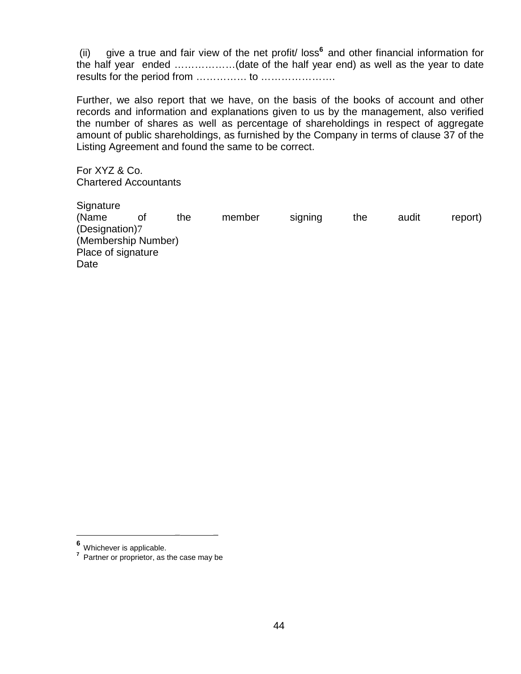(ii) give a true and fair view of the net profit/ loss**<sup>6</sup>**and other financial information for the half year ended ………………(date of the half year end) as well as the year to date results for the period from …………… to ………………….

Further, we also report that we have, on the basis of the books of account and other records and information and explanations given to us by the management, also verified the number of shares as well as percentage of shareholdings in respect of aggregate amount of public shareholdings, as furnished by the Company in terms of clause 37 of the Listing Agreement and found the same to be correct.

For XYZ & Co. Chartered Accountants

Signature (Name of the member signing the audit report) (Designation)7 (Membership Number) Place of signature Date

 $\overline{\phantom{a}}$ 

**<sup>6</sup>** Whichever is applicable.<br><sup>7</sup> Partner or proprietor, as the case may be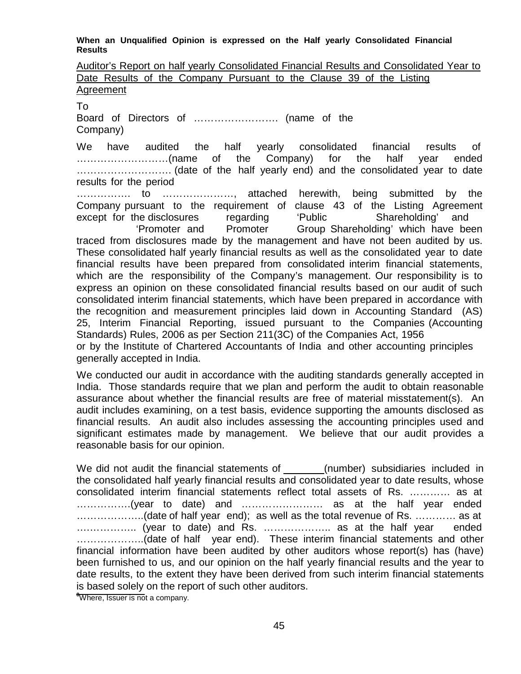**When an Unqualified Opinion is expressed on the Half yearly Consolidated Financial Results**

Auditor's Report on half yearly Consolidated Financial Results and Consolidated Year to Date Results of the Company Pursuant to the Clause 39 of the Listing Agreement

To

Board of Directors of ……………………. (name of the Company)

We have audited the half yearly consolidated financial results of ………………………(name of the Company) for the half year ended ………………………. (date of the half yearly end) and the consolidated year to date results for the period

……………. to …………………, attached herewith, being submitted by the Company pursuant to the requirement of clause 43 of the Listing Agreement except for the disclosures regarding 'Public Shareholding' and 'Promoter and Promoter Group Shareholding' which have been traced from disclosures made by the management and have not been audited by us. These consolidated half yearly financial results as well as the consolidated year to date financial results have been prepared from consolidated interim financial statements, which are the responsibility of the Company's management. Our responsibility is to express an opinion on these consolidated financial results based on our audit of such consolidated interim financial statements, which have been prepared in accordance with the recognition and measurement principles laid down in Accounting Standard (AS) 25, Interim Financial Reporting, issued pursuant to the Companies (Accounting Standards) Rules, 2006 as per Section 211(3C) of the Companies Act, 1956 or by the Institute of Chartered Accountants of Indiaand other accounting principles generally accepted in India.

We conducted our audit in accordance with the auditing standards generally accepted in India. Those standards require that we plan and perform the audit to obtain reasonable assurance about whether the financial results are free of material misstatement(s). An audit includes examining, on a test basis, evidence supporting the amounts disclosed as financial results. An audit also includes assessing the accounting principles used and significant estimates made by management. We believe that our audit provides a reasonable basis for our opinion.

We did not audit the financial statements of (number) subsidiaries included in the consolidated half yearly financial results and consolidated year to date results, whose consolidated interim financial statements reflect total assets of Rs. ………… as at …………….(year to date) and …………………… as at the half year ended ………………..(date of half year end); as well as the total revenue of Rs. ………… as at ................... (year to date) and Rs. ....................... as at the half year ended ………………..(date of half year end). These interim financial statements and other financial information have been audited by other auditors whose report(s) has (have) been furnished to us, and our opinion on the half yearly financial results and the year to date results, to the extent they have been derived from such interim financial statements is based solely on the report of such other auditors.

**8** Where, Issuer is not a company.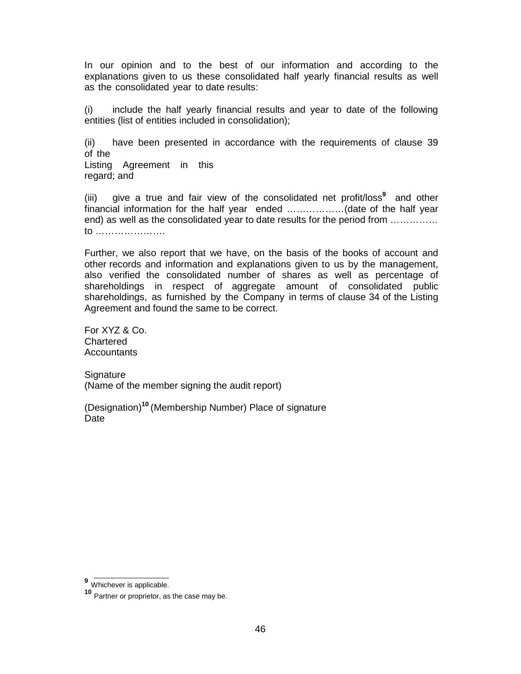In our opinion and to the best of our information and according to the explanations given to us these consolidated half yearly financial results as well as the consolidated year to date results:

(i) include the half yearly financial results and year to date of the following entities (list of entities included in consolidation);

(ii) have been presented in accordance with the requirements of clause 39 of the Listing Agreement in this regard; and

(iii) give a true and fair view of the consolidated net profit/loss**<sup>9</sup>**and other financial information for the half year ended ………………(date of the half year end) as well as the consolidated year to date results for the period from …………… to ………………….

Further, we also report that we have, on the basis of the books of account and other records and information and explanations given to us by the management, also verified the consolidated number of shares as well as percentage of shareholdings in respect of aggregate amount of consolidated public shareholdings, as furnished by the Company in terms of clause 34 of the Listing Agreement and found the same to be correct.

For XYZ & Co. **Chartered** Accountants

**Signature** (Name of the member signing the audit report)

(Designation)**<sup>10</sup>**(Membership Number) Place of signature Date

**<sup>9</sup>**Whichever is applicable.

**<sup>10</sup>**Partner or proprietor, as the case may be.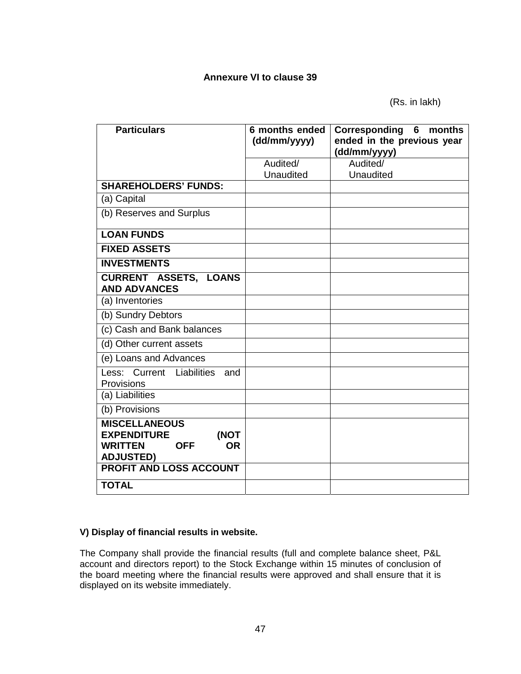## **Annexure VI to clause 39**

(Rs. in lakh)

| <b>Particulars</b>                                                                                                  | 6 months ended<br>(dd/mm/yyyy) | Corresponding 6 months<br>ended in the previous year<br>(dd/mm/yyyy) |
|---------------------------------------------------------------------------------------------------------------------|--------------------------------|----------------------------------------------------------------------|
|                                                                                                                     | Audited/                       | Audited/                                                             |
|                                                                                                                     | <b>Unaudited</b>               | Unaudited                                                            |
| <b>SHAREHOLDERS' FUNDS:</b>                                                                                         |                                |                                                                      |
| (a) Capital                                                                                                         |                                |                                                                      |
| (b) Reserves and Surplus                                                                                            |                                |                                                                      |
| <b>LOAN FUNDS</b>                                                                                                   |                                |                                                                      |
| <b>FIXED ASSETS</b>                                                                                                 |                                |                                                                      |
| <b>INVESTMENTS</b>                                                                                                  |                                |                                                                      |
| <b>CURRENT ASSETS, LOANS</b><br><b>AND ADVANCES</b>                                                                 |                                |                                                                      |
| (a) Inventories                                                                                                     |                                |                                                                      |
| (b) Sundry Debtors                                                                                                  |                                |                                                                      |
| (c) Cash and Bank balances                                                                                          |                                |                                                                      |
| (d) Other current assets                                                                                            |                                |                                                                      |
| (e) Loans and Advances                                                                                              |                                |                                                                      |
| Less: Current Liabilities<br>and<br>Provisions                                                                      |                                |                                                                      |
| (a) Liabilities                                                                                                     |                                |                                                                      |
| (b) Provisions                                                                                                      |                                |                                                                      |
| <b>MISCELLANEOUS</b><br><b>EXPENDITURE</b><br>(NOT<br><b>WRITTEN</b><br><b>OFF</b><br><b>OR</b><br><b>ADJUSTED)</b> |                                |                                                                      |
| <b>PROFIT AND LOSS ACCOUNT</b>                                                                                      |                                |                                                                      |
| <b>TOTAL</b>                                                                                                        |                                |                                                                      |

## **V) Display of financial results in website.**

The Company shall provide the financial results (full and complete balance sheet, P&L account and directors report) to the Stock Exchange within 15 minutes of conclusion of the board meeting where the financial results were approved and shall ensure that it is displayed on its website immediately.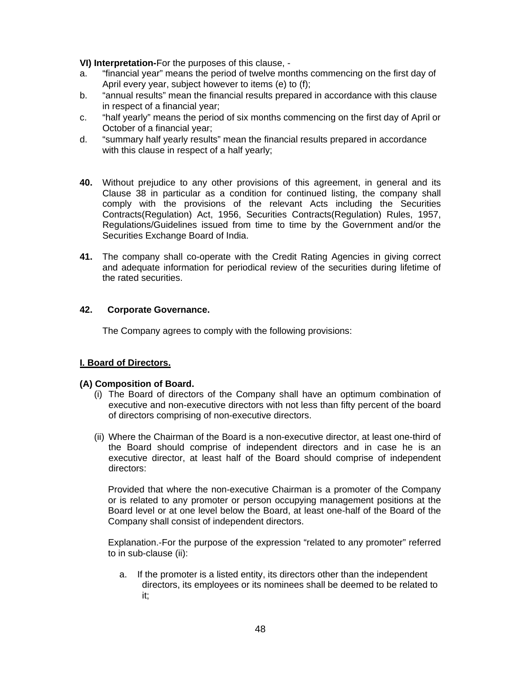**VI) Interpretation-**For the purposes of this clause, -

- a. "financial year" means the period of twelve months commencing on the first day of April every year, subject however to items (e) to (f);
- b. "annual results" mean the financial results prepared in accordance with this clause in respect of a financial year;
- c. "half yearly" means the period of six months commencing on the first day of April or October of a financial year;
- d. "summary half yearly results" mean the financial results prepared in accordance with this clause in respect of a half yearly;
- **40.** Without prejudice to any other provisions of this agreement, in general and its Clause 38 in particular as a condition for continued listing, the company shall comply with the provisions of the relevant Acts including the Securities Contracts(Regulation) Act, 1956, Securities Contracts(Regulation) Rules, 1957, Regulations/Guidelines issued from time to time by the Government and/or the Securities Exchange Board of India.
- **41.** The company shall co-operate with the Credit Rating Agencies in giving correct and adequate information for periodical review of the securities during lifetime of the rated securities.

## **42. Corporate Governance.**

The Company agrees to comply with the following provisions:

## **I. Board of Directors.**

#### **(A) Composition of Board.**

- (i) The Board of directors of the Company shall have an optimum combination of executive and non-executive directors with not less than fifty percent of the board of directors comprising of non-executive directors.
- (ii) Where the Chairman of the Board is a non-executive director, at least one-third of the Board should comprise of independent directors and in case he is an executive director, at least half of the Board should comprise of independent directors:

Provided that where the non-executive Chairman is a promoter of the Company or is related to any promoter or person occupying management positions at the Board level or at one level below the Board, at least one-half of the Board of the Company shall consist of independent directors.

Explanation.-For the purpose of the expression "related to any promoter" referred to in sub-clause (ii):

a. If the promoter is a listed entity, its directors other than the independent directors, its employees or its nominees shall be deemed to be related to it;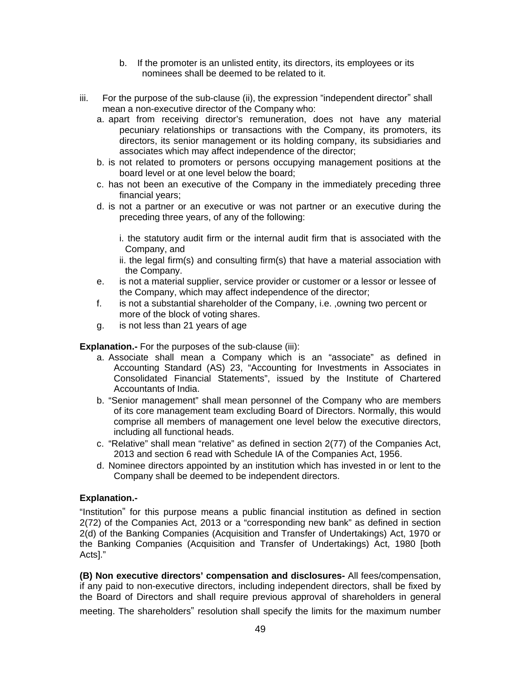- b. If the promoter is an unlisted entity, its directors, its employees or its nominees shall be deemed to be related to it.
- iii. For the purpose of the sub-clause (ii), the expression "independent director" shall mean a non-executive director of the Company who:
	- a. apart from receiving director's remuneration, does not have any material pecuniary relationships or transactions with the Company, its promoters, its directors, its senior management or its holding company, its subsidiaries and associates which may affect independence of the director;
	- b. is not related to promoters or persons occupying management positions at the board level or at one level below the board;
	- c. has not been an executive of the Company in the immediately preceding three financial years;
	- d. is not a partner or an executive or was not partner or an executive during the preceding three years, of any of the following:
		- i. the statutory audit firm or the internal audit firm that is associated with the Company, and
		- ii. the legal firm(s) and consulting firm(s) that have a material association with the Company.
	- e. is not a material supplier, service provider or customer or a lessor or lessee of the Company, which may affect independence of the director;
	- f. is not a substantial shareholder of the Company, i.e. ,owning two percent or more of the block of voting shares.
	- g. is not less than 21 years of age

**Explanation.-** For the purposes of the sub-clause (iii):

- a. Associate shall mean a Company which is an "associate" as defined in Accounting Standard (AS) 23, "Accounting for Investments in Associates in Consolidated Financial Statements", issued by the Institute of Chartered Accountants of India.
- b. "Senior management" shall mean personnel of the Company who are members of its core management team excluding Board of Directors. Normally, this would comprise all members of management one level below the executive directors, including all functional heads.
- c. "Relative" shall mean "relative" as defined in section 2(77) of the Companies Act, 2013 and section 6 read with Schedule IA of the Companies Act, 1956.
- d. Nominee directors appointed by an institution which has invested in or lent to the Company shall be deemed to be independent directors.

## **Explanation.-**

"Institution" for this purpose means a public financial institution as defined in section 2(72) of the Companies Act, 2013 or a "corresponding new bank" as defined in section 2(d) of the Banking Companies (Acquisition and Transfer of Undertakings) Act, 1970 or the Banking Companies (Acquisition and Transfer of Undertakings) Act, 1980 [both Acts]."

**(B) Non executive directors' compensation and disclosures-** All fees/compensation, if any paid to non-executive directors, including independent directors, shall be fixed by the Board of Directors and shall require previous approval of shareholders in general meeting. The shareholders" resolution shall specify the limits for the maximum number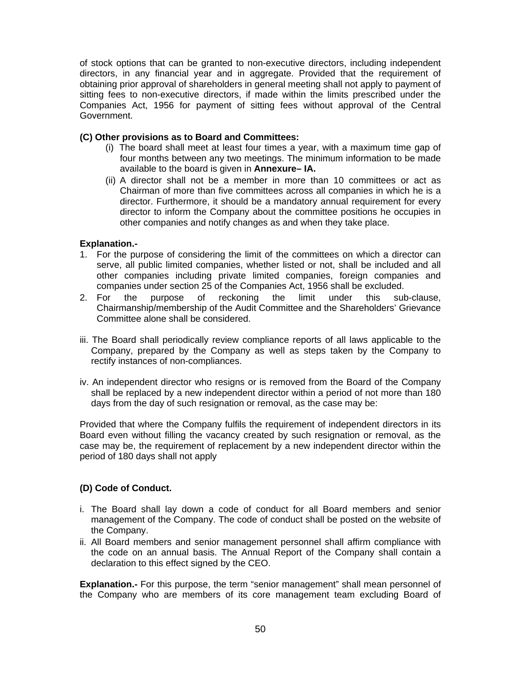of stock options that can be granted to non-executive directors, including independent directors, in any financial year and in aggregate. Provided that the requirement of obtaining prior approval of shareholders in general meeting shall not apply to payment of sitting fees to non-executive directors, if made within the limits prescribed under the Companies Act, 1956 for payment of sitting fees without approval of the Central Government.

### **(C) Other provisions as to Board and Committees:**

- (i) The board shall meet at least four times a year, with a maximum time gap of four months between any two meetings. The minimum information to be made available to the board is given in **Annexure– IA.**
- (ii) A director shall not be a member in more than 10 committees or act as Chairman of more than five committees across all companies in which he is a director. Furthermore, it should be a mandatory annual requirement for every director to inform the Company about the committee positions he occupies in other companies and notify changes as and when they take place.

### **Explanation.-**

- 1. For the purpose of considering the limit of the committees on which a director can serve, all public limited companies, whether listed or not, shall be included and all other companies including private limited companies, foreign companies and companies under section 25 of the Companies Act, 1956 shall be excluded.
- 2. For the purpose of reckoning the limit under this sub-clause, Chairmanship/membership of the Audit Committee and the Shareholders' Grievance Committee alone shall be considered.
- iii. The Board shall periodically review compliance reports of all laws applicable to the Company, prepared by the Company as well as steps taken by the Company to rectify instances of non-compliances.
- iv. An independent director who resigns or is removed from the Board of the Company shall be replaced by a new independent director within a period of not more than 180 days from the day of such resignation or removal, as the case may be:

Provided that where the Company fulfils the requirement of independent directors in its Board even without filling the vacancy created by such resignation or removal, as the case may be, the requirement of replacement by a new independent director within the period of 180 days shall not apply

## **(D) Code of Conduct.**

- i. The Board shall lay down a code of conduct for all Board members and senior management of the Company. The code of conduct shall be posted on the website of the Company.
- ii. All Board members and senior management personnel shall affirm compliance with the code on an annual basis. The Annual Report of the Company shall contain a declaration to this effect signed by the CEO.

**Explanation.-** For this purpose, the term "senior management" shall mean personnel of the Company who are members of its core management team excluding Board of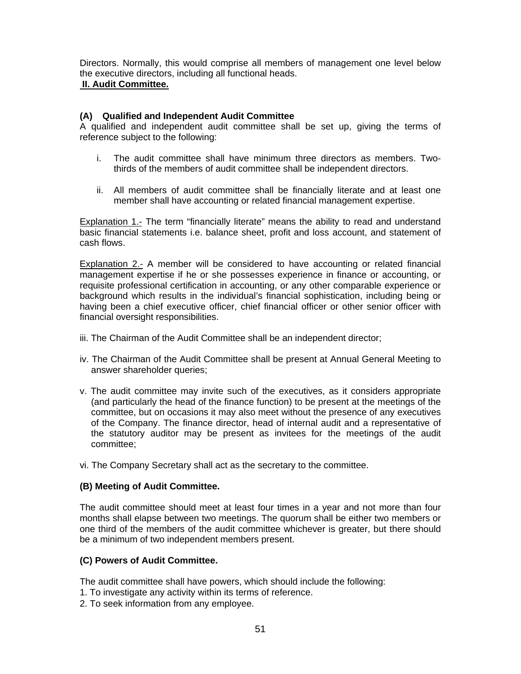Directors. Normally, this would comprise all members of management one level below the executive directors, including all functional heads.

# **II. Audit Committee.**

### **(A) Qualified and Independent Audit Committee**

A qualified and independent audit committee shall be set up, giving the terms of reference subject to the following:

- i. The audit committee shall have minimum three directors as members. Twothirds of the members of audit committee shall be independent directors.
- ii. All members of audit committee shall be financially literate and at least one member shall have accounting or related financial management expertise.

Explanation 1.- The term "financially literate" means the ability to read and understand basic financial statements i.e. balance sheet, profit and loss account, and statement of cash flows.

Explanation 2.- A member will be considered to have accounting or related financial management expertise if he or she possesses experience in finance or accounting, or requisite professional certification in accounting, or any other comparable experience or background which results in the individual's financial sophistication, including being or having been a chief executive officer, chief financial officer or other senior officer with financial oversight responsibilities.

- iii. The Chairman of the Audit Committee shall be an independent director;
- iv. The Chairman of the Audit Committee shall be present at Annual General Meeting to answer shareholder queries;
- v. The audit committee may invite such of the executives, as it considers appropriate (and particularly the head of the finance function) to be present at the meetings of the committee, but on occasions it may also meet without the presence of any executives of the Company. The finance director, head of internal audit and a representative of the statutory auditor may be present as invitees for the meetings of the audit committee;
- vi. The Company Secretary shall act as the secretary to the committee.

#### **(B) Meeting of Audit Committee.**

The audit committee should meet at least four times in a year and not more than four months shall elapse between two meetings. The quorum shall be either two members or one third of the members of the audit committee whichever is greater, but there should be a minimum of two independent members present.

### **(C) Powers of Audit Committee.**

The audit committee shall have powers, which should include the following:

- 1. To investigate any activity within its terms of reference.
- 2. To seek information from any employee.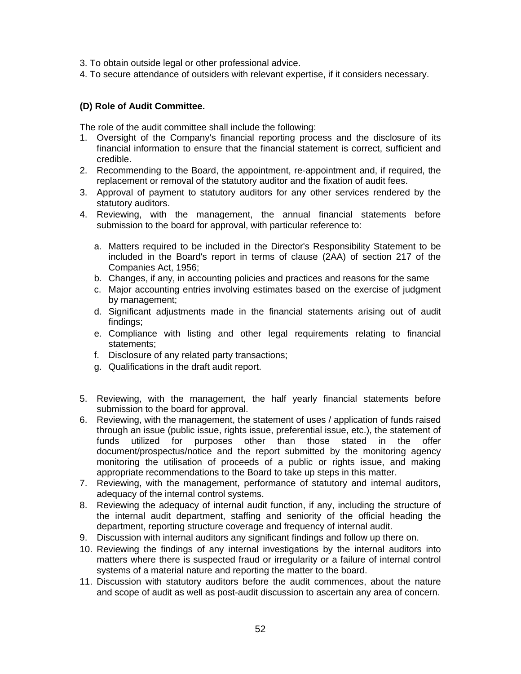- 3. To obtain outside legal or other professional advice.
- 4. To secure attendance of outsiders with relevant expertise, if it considers necessary.

## **(D) Role of Audit Committee.**

The role of the audit committee shall include the following:

- 1. Oversight of the Company's financial reporting process and the disclosure of its financial information to ensure that the financial statement is correct, sufficient and credible.
- 2. Recommending to the Board, the appointment, re-appointment and, if required, the replacement or removal of the statutory auditor and the fixation of audit fees.
- 3. Approval of payment to statutory auditors for any other services rendered by the statutory auditors.
- 4. Reviewing, with the management, the annual financial statements before submission to the board for approval, with particular reference to:
	- a. Matters required to be included in the Director's Responsibility Statement to be included in the Board's report in terms of clause (2AA) of section 217 of the Companies Act, 1956;
	- b. Changes, if any, in accounting policies and practices and reasons for the same
	- c. Major accounting entries involving estimates based on the exercise of judgment by management;
	- d. Significant adjustments made in the financial statements arising out of audit findings;
	- e. Compliance with listing and other legal requirements relating to financial statements;
	- f. Disclosure of any related party transactions;
	- g. Qualifications in the draft audit report.
- 5. Reviewing, with the management, the half yearly financial statements before submission to the board for approval.
- 6. Reviewing, with the management, the statement of uses / application of funds raised through an issue (public issue, rights issue, preferential issue, etc.), the statement of funds utilized for purposes other than those stated in the offer document/prospectus/notice and the report submitted by the monitoring agency monitoring the utilisation of proceeds of a public or rights issue, and making appropriate recommendations to the Board to take up steps in this matter.
- 7. Reviewing, with the management, performance of statutory and internal auditors, adequacy of the internal control systems.
- 8. Reviewing the adequacy of internal audit function, if any, including the structure of the internal audit department, staffing and seniority of the official heading the department, reporting structure coverage and frequency of internal audit.
- 9. Discussion with internal auditors any significant findings and follow up there on.
- 10. Reviewing the findings of any internal investigations by the internal auditors into matters where there is suspected fraud or irregularity or a failure of internal control systems of a material nature and reporting the matter to the board.
- 11. Discussion with statutory auditors before the audit commences, about the nature and scope of audit as well as post-audit discussion to ascertain any area of concern.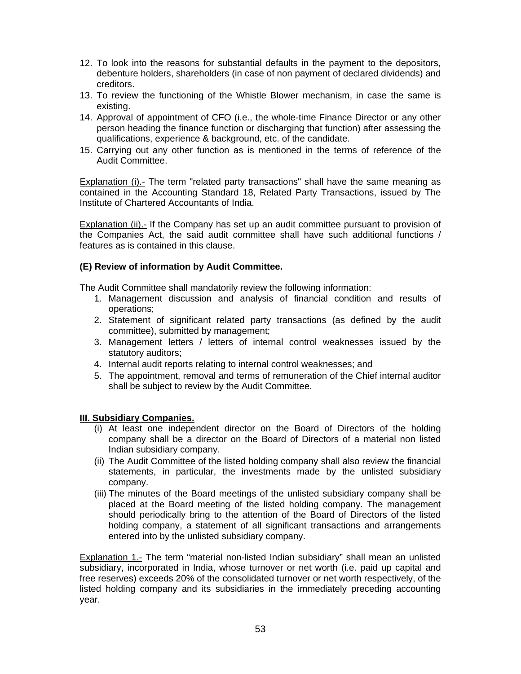- 12. To look into the reasons for substantial defaults in the payment to the depositors, debenture holders, shareholders (in case of non payment of declared dividends) and creditors.
- 13. To review the functioning of the Whistle Blower mechanism, in case the same is existing.
- 14. Approval of appointment of CFO (i.e., the whole-time Finance Director or any other person heading the finance function or discharging that function) after assessing the qualifications, experience & background, etc. of the candidate.
- 15. Carrying out any other function as is mentioned in the terms of reference of the Audit Committee.

Explanation (i).- The term "related party transactions" shall have the same meaning as contained in the Accounting Standard 18, Related Party Transactions, issued by The Institute of Chartered Accountants of India.

Explanation (ii).- If the Company has set up an audit committee pursuant to provision of the Companies Act, the said audit committee shall have such additional functions / features as is contained in this clause.

## **(E) Review of information by Audit Committee.**

The Audit Committee shall mandatorily review the following information:

- 1. Management discussion and analysis of financial condition and results of operations;
- 2. Statement of significant related party transactions (as defined by the audit committee), submitted by management;
- 3. Management letters / letters of internal control weaknesses issued by the statutory auditors;
- 4. Internal audit reports relating to internal control weaknesses; and
- 5. The appointment, removal and terms of remuneration of the Chief internal auditor shall be subject to review by the Audit Committee.

## **III. Subsidiary Companies.**

- (i) At least one independent director on the Board of Directors of the holding company shall be a director on the Board of Directors of a material non listed Indian subsidiary company.
- (ii) The Audit Committee of the listed holding company shall also review the financial statements, in particular, the investments made by the unlisted subsidiary company.
- (iii) The minutes of the Board meetings of the unlisted subsidiary company shall be placed at the Board meeting of the listed holding company. The management should periodically bring to the attention of the Board of Directors of the listed holding company, a statement of all significant transactions and arrangements entered into by the unlisted subsidiary company.

Explanation 1.- The term "material non-listed Indian subsidiary" shall mean an unlisted subsidiary, incorporated in India, whose turnover or net worth (i.e. paid up capital and free reserves) exceeds 20% of the consolidated turnover or net worth respectively, of the listed holding company and its subsidiaries in the immediately preceding accounting year.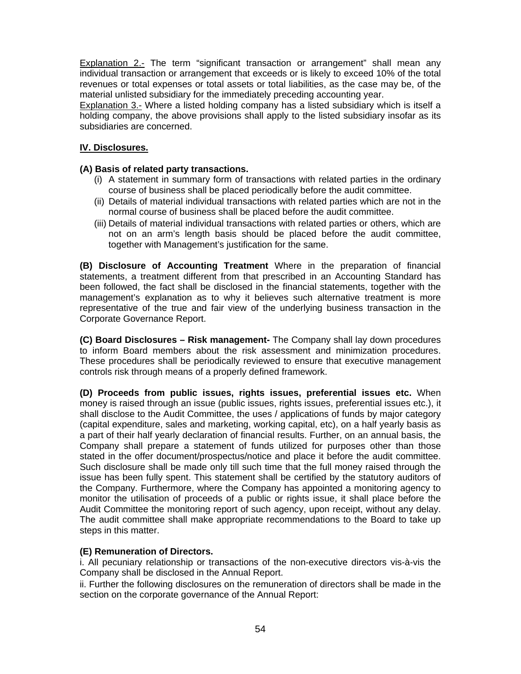Explanation 2.- The term "significant transaction or arrangement" shall mean any individual transaction or arrangement that exceeds or is likely to exceed 10% of the total revenues or total expenses or total assets or total liabilities, as the case may be, of the material unlisted subsidiary for the immediately preceding accounting year.

Explanation 3.- Where a listed holding company has a listed subsidiary which is itself a holding company, the above provisions shall apply to the listed subsidiary insofar as its subsidiaries are concerned.

## **IV. Disclosures.**

### **(A) Basis of related party transactions.**

- (i) A statement in summary form of transactions with related parties in the ordinary course of business shall be placed periodically before the audit committee.
- (ii) Details of material individual transactions with related parties which are not in the normal course of business shall be placed before the audit committee.
- (iii) Details of material individual transactions with related parties or others, which are not on an arm's length basis should be placed before the audit committee, together with Management's justification for the same.

**(B) Disclosure of Accounting Treatment** Where in the preparation of financial statements, a treatment different from that prescribed in an Accounting Standard has been followed, the fact shall be disclosed in the financial statements, together with the management's explanation as to why it believes such alternative treatment is more representative of the true and fair view of the underlying business transaction in the Corporate Governance Report.

**(C) Board Disclosures – Risk management-** The Company shall lay down procedures to inform Board members about the risk assessment and minimization procedures. These procedures shall be periodically reviewed to ensure that executive management controls risk through means of a properly defined framework.

**(D) Proceeds from public issues, rights issues, preferential issues etc.** When money is raised through an issue (public issues, rights issues, preferential issues etc.), it shall disclose to the Audit Committee, the uses / applications of funds by major category (capital expenditure, sales and marketing, working capital, etc), on a half yearly basis as a part of their half yearly declaration of financial results. Further, on an annual basis, the Company shall prepare a statement of funds utilized for purposes other than those stated in the offer document/prospectus/notice and place it before the audit committee. Such disclosure shall be made only till such time that the full money raised through the issue has been fully spent. This statement shall be certified by the statutory auditors of the Company. Furthermore, where the Company has appointed a monitoring agency to monitor the utilisation of proceeds of a public or rights issue, it shall place before the Audit Committee the monitoring report of such agency, upon receipt, without any delay. The audit committee shall make appropriate recommendations to the Board to take up steps in this matter.

#### **(E) Remuneration of Directors.**

i. All pecuniary relationship or transactions of the non-executive directors vis-à-vis the Company shall be disclosed in the Annual Report.

ii. Further the following disclosures on the remuneration of directors shall be made in the section on the corporate governance of the Annual Report: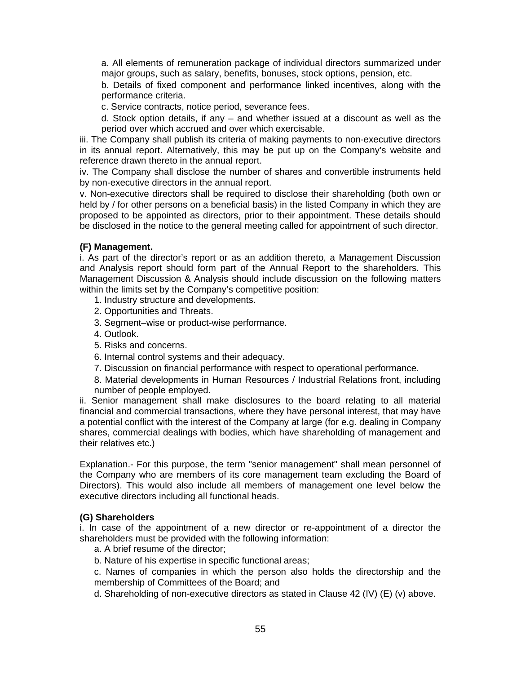a. All elements of remuneration package of individual directors summarized under major groups, such as salary, benefits, bonuses, stock options, pension, etc.

b. Details of fixed component and performance linked incentives, along with the performance criteria.

c. Service contracts, notice period, severance fees.

d. Stock option details, if any – and whether issued at a discount as well as the period over which accrued and over which exercisable.

iii. The Company shall publish its criteria of making payments to non-executive directors in its annual report. Alternatively, this may be put up on the Company's website and reference drawn thereto in the annual report.

iv. The Company shall disclose the number of shares and convertible instruments held by non-executive directors in the annual report.

v. Non-executive directors shall be required to disclose their shareholding (both own or held by / for other persons on a beneficial basis) in the listed Company in which they are proposed to be appointed as directors, prior to their appointment. These details should be disclosed in the notice to the general meeting called for appointment of such director.

#### **(F) Management.**

i. As part of the director's report or as an addition thereto, a Management Discussion and Analysis report should form part of the Annual Report to the shareholders. This Management Discussion & Analysis should include discussion on the following matters within the limits set by the Company's competitive position:

1. Industry structure and developments.

- 2. Opportunities and Threats.
- 3. Segment–wise or product-wise performance.
- 4. Outlook.
- 5. Risks and concerns.
- 6. Internal control systems and their adequacy.
- 7. Discussion on financial performance with respect to operational performance.

8. Material developments in Human Resources / Industrial Relations front, including number of people employed.

ii. Senior management shall make disclosures to the board relating to all material financial and commercial transactions, where they have personal interest, that may have a potential conflict with the interest of the Company at large (for e.g. dealing in Company shares, commercial dealings with bodies, which have shareholding of management and their relatives etc.)

Explanation.- For this purpose, the term "senior management" shall mean personnel of the Company who are members of its core management team excluding the Board of Directors). This would also include all members of management one level below the executive directors including all functional heads.

#### **(G) Shareholders**

i. In case of the appointment of a new director or re-appointment of a director the shareholders must be provided with the following information:

a. A brief resume of the director;

b. Nature of his expertise in specific functional areas;

c. Names of companies in which the person also holds the directorship and the membership of Committees of the Board; and

d. Shareholding of non-executive directors as stated in Clause 42 (IV) (E) (v) above.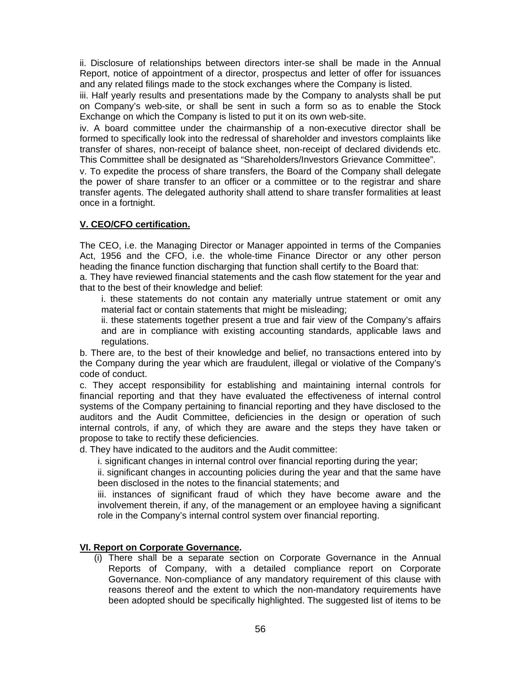ii. Disclosure of relationships between directors inter-se shall be made in the Annual Report, notice of appointment of a director, prospectus and letter of offer for issuances and any related filings made to the stock exchanges where the Company is listed.

iii. Half yearly results and presentations made by the Company to analysts shall be put on Company's web-site, or shall be sent in such a form so as to enable the Stock Exchange on which the Company is listed to put it on its own web-site.

iv. A board committee under the chairmanship of a non-executive director shall be formed to specifically look into the redressal of shareholder and investors complaints like transfer of shares, non-receipt of balance sheet, non-receipt of declared dividends etc. This Committee shall be designated as "Shareholders/Investors Grievance Committee".

v. To expedite the process of share transfers, the Board of the Company shall delegate the power of share transfer to an officer or a committee or to the registrar and share transfer agents. The delegated authority shall attend to share transfer formalities at least once in a fortnight.

## **V. CEO/CFO certification.**

The CEO, i.e. the Managing Director or Manager appointed in terms of the Companies Act, 1956 and the CFO, i.e. the whole-time Finance Director or any other person heading the finance function discharging that function shall certify to the Board that:

a. They have reviewed financial statements and the cash flow statement for the year and that to the best of their knowledge and belief:

i. these statements do not contain any materially untrue statement or omit any material fact or contain statements that might be misleading;

ii. these statements together present a true and fair view of the Company's affairs and are in compliance with existing accounting standards, applicable laws and regulations.

b. There are, to the best of their knowledge and belief, no transactions entered into by the Company during the year which are fraudulent, illegal or violative of the Company's code of conduct.

c. They accept responsibility for establishing and maintaining internal controls for financial reporting and that they have evaluated the effectiveness of internal control systems of the Company pertaining to financial reporting and they have disclosed to the auditors and the Audit Committee, deficiencies in the design or operation of such internal controls, if any, of which they are aware and the steps they have taken or propose to take to rectify these deficiencies.

d. They have indicated to the auditors and the Audit committee:

i. significant changes in internal control over financial reporting during the year;

ii. significant changes in accounting policies during the year and that the same have been disclosed in the notes to the financial statements; and

iii. instances of significant fraud of which they have become aware and the involvement therein, if any, of the management or an employee having a significant role in the Company's internal control system over financial reporting.

## **VI. Report on Corporate Governance.**

(i) There shall be a separate section on Corporate Governance in the Annual Reports of Company, with a detailed compliance report on Corporate Governance. Non-compliance of any mandatory requirement of this clause with reasons thereof and the extent to which the non-mandatory requirements have been adopted should be specifically highlighted. The suggested list of items to be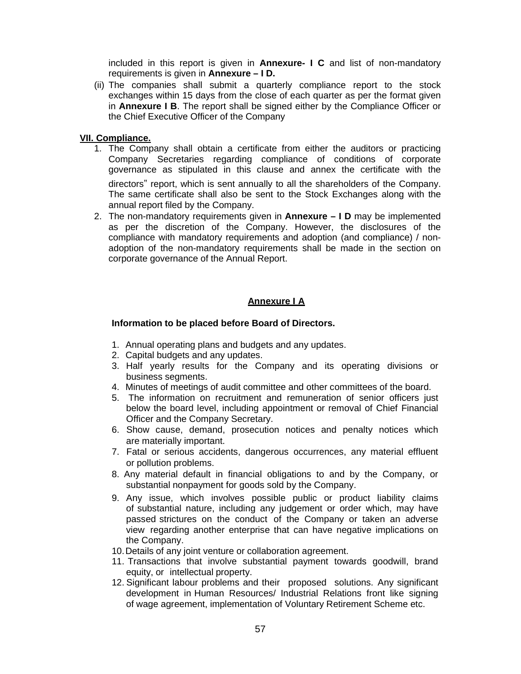included in this report is given in **Annexure- I C** and list of non-mandatory requirements is given in **Annexure – I D.** 

(ii) The companies shall submit a quarterly compliance report to the stock exchanges within 15 days from the close of each quarter as per the format given in **Annexure I B**. The report shall be signed either by the Compliance Officer or the Chief Executive Officer of the Company

### **VII. Compliance.**

- 1. The Company shall obtain a certificate from either the auditors or practicing Company Secretaries regarding compliance of conditions of corporate governance as stipulated in this clause and annex the certificate with the directors" report, which is sent annually to all the shareholders of the Company. The same certificate shall also be sent to the Stock Exchanges along with the annual report filed by the Company.
- 2. The non-mandatory requirements given in **Annexure I D** may be implemented as per the discretion of the Company. However, the disclosures of the compliance with mandatory requirements and adoption (and compliance) / nonadoption of the non-mandatory requirements shall be made in the section on corporate governance of the Annual Report.

### **Annexure I A**

#### **Information to be placed before Board of Directors.**

- 1. Annual operating plans and budgets and any updates.
- 2. Capital budgets and any updates.
- 3. Half yearly results for the Company and its operating divisions or business segments.
- 4. Minutes of meetings of audit committee and other committees of the board.
- 5. The information on recruitment and remuneration of senior officers just below the board level, including appointment or removal of Chief Financial Officer and the Company Secretary.
- 6. Show cause, demand, prosecution notices and penalty notices which are materially important.
- 7. Fatal or serious accidents, dangerous occurrences, any material effluent or pollution problems.
- 8. Any material default in financial obligations to and by the Company, or substantial nonpayment for goods sold by the Company.
- 9. Any issue, which involves possible public or product liability claims of substantial nature, including any judgement or order which, may have passed strictures on the conduct of the Company or taken an adverse view regarding another enterprise that can have negative implications on the Company.
- 10. Details of any joint venture or collaboration agreement.
- 11. Transactions that involve substantial payment towards goodwill, brand equity, or intellectual property.
- 12. Significant labour problems and their proposed solutions. Any significant development in Human Resources/ Industrial Relations front like signing of wage agreement, implementation of Voluntary Retirement Scheme etc.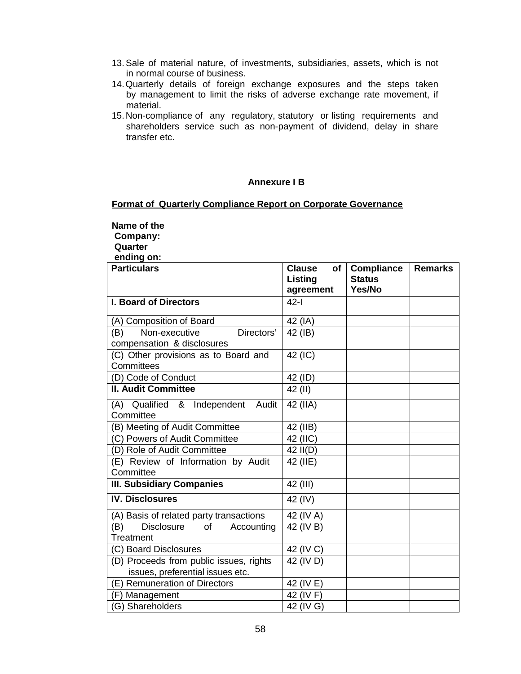- 13. Sale of material nature, of investments, subsidiaries, assets, which is not in normal course of business.
- 14. Quarterly details of foreign exchange exposures and the steps taken by management to limit the risks of adverse exchange rate movement, if material.
- 15. Non-compliance of any regulatory, statutory or listing requirements and shareholders service such as non-payment of dividend, delay in share transfer etc.

## **Annexure I B**

#### **Format of Quarterly Compliance Report on Corporate Governance**

**Name of the Company: Quarter** 

**ending on:**

| <b>Particulars</b>                                                          | <b>Clause</b><br>of <sub>1</sub><br><b>Listing</b> | <b>Compliance</b><br><b>Status</b> | <b>Remarks</b> |
|-----------------------------------------------------------------------------|----------------------------------------------------|------------------------------------|----------------|
|                                                                             | agreement                                          | Yes/No                             |                |
| I. Board of Directors                                                       | $42 -$                                             |                                    |                |
| (A) Composition of Board                                                    | 42 (IA)                                            |                                    |                |
| Directors'<br>Non-executive<br>(B)<br>compensation & disclosures            | 42 (IB)                                            |                                    |                |
| (C) Other provisions as to Board and<br>Committees                          | 42 (IC)                                            |                                    |                |
| (D) Code of Conduct                                                         | 42 (ID)                                            |                                    |                |
| <b>II. Audit Committee</b>                                                  | 42 (II)                                            |                                    |                |
| (A) Qualified & Independent<br>Audit<br>Committee                           | 42 (IIA)                                           |                                    |                |
| (B) Meeting of Audit Committee                                              | 42 (IIB)                                           |                                    |                |
| (C) Powers of Audit Committee                                               | 42 (IIC)                                           |                                    |                |
| (D) Role of Audit Committee                                                 | 42 II(D)                                           |                                    |                |
| (E) Review of Information by Audit<br>Committee                             | 42 (IIE)                                           |                                    |                |
| <b>III. Subsidiary Companies</b>                                            | 42 (III)                                           |                                    |                |
| <b>IV. Disclosures</b>                                                      | 42 (IV)                                            |                                    |                |
| (A) Basis of related party transactions                                     | 42 (IV A)                                          |                                    |                |
| Disclosure<br>(B)<br>Accounting<br>of<br>Treatment                          | 42 (IV B)                                          |                                    |                |
| (C) Board Disclosures                                                       | 42 (IV C)                                          |                                    |                |
| (D) Proceeds from public issues, rights<br>issues, preferential issues etc. | 42 (IV D)                                          |                                    |                |
| (E) Remuneration of Directors                                               | 42 (IV E)                                          |                                    |                |
| (F) Management                                                              | 42 (IV F)                                          |                                    |                |
| (G) Shareholders                                                            | 42 (IV G)                                          |                                    |                |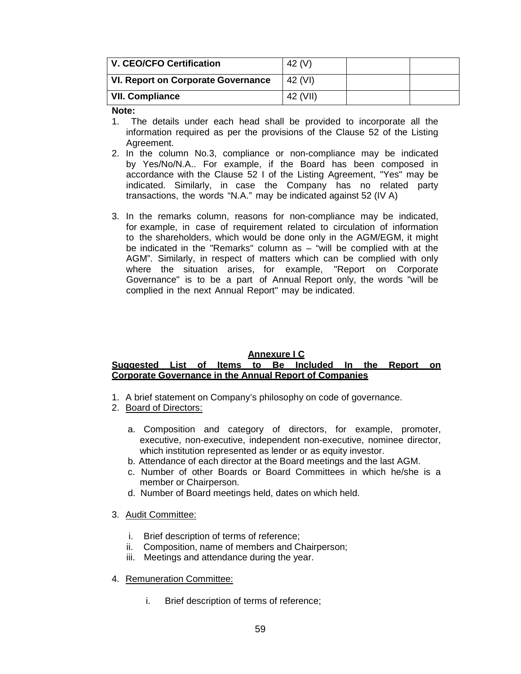| V. CEO/CFO Certification           | 42 (V)   |  |
|------------------------------------|----------|--|
| VI. Report on Corporate Governance | 42 (VI)  |  |
| <b>VII. Compliance</b>             | 42 (VII) |  |

#### **Note:**

- 1. The details under each head shall be provided to incorporate all the information required as per the provisions of the Clause 52 of the Listing Agreement.
- 2. In the column No.3, compliance or non-compliance may be indicated by Yes/No/N.A.. For example, if the Board has been composed in accordance with the Clause 52 I of the Listing Agreement, "Yes" may be indicated. Similarly, in case the Company has no related party transactions, the words "N.A." may be indicated against 52 (IV A)
- 3. In the remarks column, reasons for non-compliance may be indicated, for example, in case of requirement related to circulation of information to the shareholders, which would be done only in the AGM/EGM, it might be indicated in the "Remarks" column as – "will be complied with at the AGM". Similarly, in respect of matters which can be complied with only where the situation arises, for example, "Report on Corporate Governance" is to be a part of Annual Report only, the words "will be complied in the next Annual Report" may be indicated.

#### **Annexure I C**

### **Suggested List of Items to Be Included In the Report on Corporate Governance in the Annual Report of Companies**

- 1. A brief statement on Company's philosophy on code of governance.
- 2. Board of Directors:
	- a. Composition and category of directors, for example, promoter, executive, non-executive, independent non-executive, nominee director, which institution represented as lender or as equity investor.
	- b. Attendance of each director at the Board meetings and the last AGM.
	- c. Number of other Boards or Board Committees in which he/she is a member or Chairperson.
	- d. Number of Board meetings held, dates on which held.

#### 3. Audit Committee:

- i. Brief description of terms of reference;
- ii. Composition, name of members and Chairperson;
- iii. Meetings and attendance during the year.
- 4. Remuneration Committee:
	- i. Brief description of terms of reference;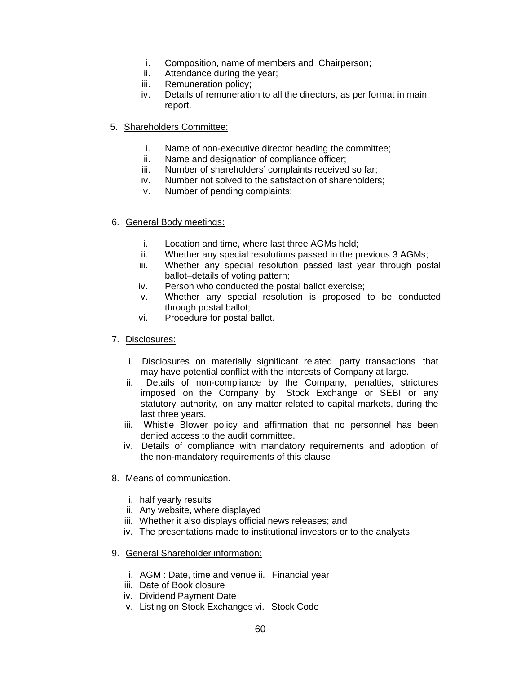- i. Composition, name of members and Chairperson;
- ii. Attendance during the year;
- iii. Remuneration policy;
- iv. Details of remuneration to all the directors, as per format in main report.
- 5. Shareholders Committee:
	- i. Name of non-executive director heading the committee;
	- ii. Name and designation of compliance officer;
	- iii. Number of shareholders' complaints received so far;
	- iv. Number not solved to the satisfaction of shareholders;
	- v. Number of pending complaints;

#### 6. General Body meetings:

- i. Location and time, where last three AGMs held;
- ii. Whether any special resolutions passed in the previous 3 AGMs;
- iii. Whether any special resolution passed last year through postal ballot–details of voting pattern;
- iv. Person who conducted the postal ballot exercise;
- v. Whether any special resolution is proposed to be conducted through postal ballot;
- vi. Procedure for postal ballot.

#### 7. Disclosures:

- i. Disclosures on materially significant related party transactions that may have potential conflict with the interests of Company at large.
- ii. Details of non-compliance by the Company, penalties, strictures imposed on the Company by Stock Exchange or SEBI or any statutory authority, on any matter related to capital markets, during the last three years.
- iii. Whistle Blower policy and affirmation that no personnel has been denied access to the audit committee.
- iv. Details of compliance with mandatory requirements and adoption of the non-mandatory requirements of this clause

#### 8. Means of communication.

- i. half yearly results
- ii. Any website, where displayed
- iii. Whether it also displays official news releases; and
- iv. The presentations made to institutional investors or to the analysts.
- 9. General Shareholder information:
	- i. AGM : Date, time and venue ii. Financial year
	- iii. Date of Book closure
	- iv. Dividend Payment Date
	- v. Listing on Stock Exchanges vi. Stock Code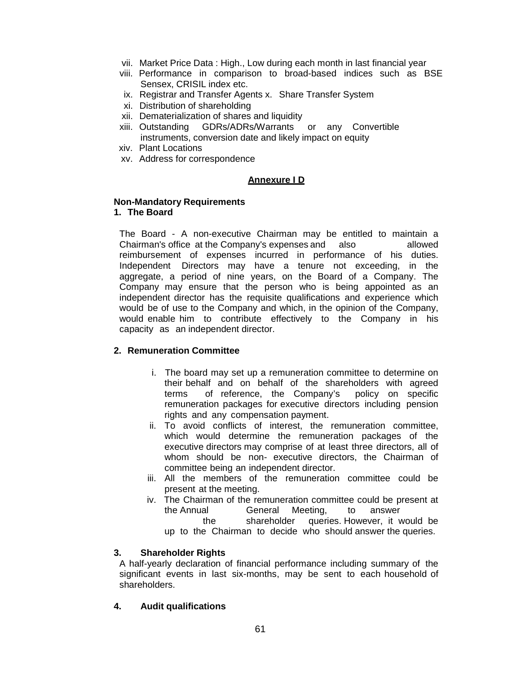- vii. Market Price Data : High., Low during each month in last financial year
- viii. Performance in comparison to broad-based indices such as BSE Sensex, CRISIL index etc.
- ix. Registrar and Transfer Agents x. Share Transfer System
- xi. Distribution of shareholding
- xii. Dematerialization of shares and liquidity
- xiii. Outstanding GDRs/ADRs/Warrants or any Convertible instruments, conversion date and likely impact on equity
- xiv. Plant Locations
- xv. Address for correspondence

### **Annexure I D**

#### **Non-Mandatory Requirements**

#### **1. The Board**

The Board - A non-executive Chairman may be entitled to maintain a Chairman's office at the Company's expenses and also allowed reimbursement of expenses incurred in performance of his duties. Independent Directors may have a tenure not exceeding, in the aggregate, a period of nine years, on the Board of a Company. The Company may ensure that the person who is being appointed as an independent director has the requisite qualifications and experience which would be of use to the Company and which, in the opinion of the Company, would enable him to contribute effectively to the Company in his capacity as an independent director.

#### **2. Remuneration Committee**

- i. The board may set up a remuneration committee to determine on their behalf and on behalf of the shareholders with agreed terms of reference, the Company's policy on specific remuneration packages for executive directors including pension rights and any compensation payment.
- ii. To avoid conflicts of interest, the remuneration committee, which would determine the remuneration packages of the executive directors may comprise of at least three directors, all of whom should be non- executive directors, the Chairman of committee being an independent director.
- iii. All the members of the remuneration committee could be present at the meeting.
- iv. The Chairman of the remuneration committee could be present at the Annual General Meeting, to answer

 the shareholder queries. However, it would be up to the Chairman to decide who should answer the queries.

#### **3. Shareholder Rights**

A half-yearly declaration of financial performance including summary of the significant events in last six-months, may be sent to each household of shareholders.

#### **4. Audit qualifications**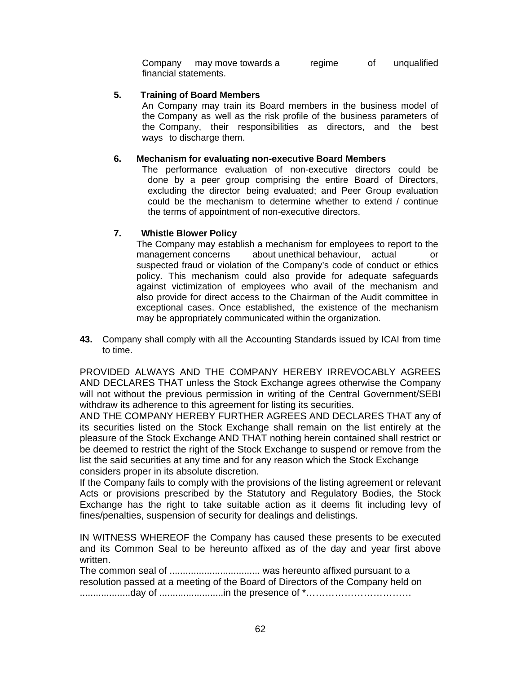Company may move towards a regime of unqualified financial statements.

## **5. Training of Board Members**

An Company may train its Board members in the business model of the Company as well as the risk profile of the business parameters of the Company, their responsibilities as directors, and the best ways to discharge them.

## **6. Mechanism for evaluating non-executive Board Members**

The performance evaluation of non-executive directors could be done by a peer group comprising the entire Board of Directors, excluding the director being evaluated; and Peer Group evaluation could be the mechanism to determine whether to extend / continue the terms of appointment of non-executive directors.

## **7. Whistle Blower Policy**

The Company may establish a mechanism for employees to report to the management concerns about unethical behaviour, actual or suspected fraud or violation of the Company's code of conduct or ethics policy. This mechanism could also provide for adequate safeguards against victimization of employees who avail of the mechanism and also provide for direct access to the Chairman of the Audit committee in exceptional cases. Once established, the existence of the mechanism may be appropriately communicated within the organization.

**43.** Company shall comply with all the Accounting Standards issued by ICAI from time to time.

PROVIDED ALWAYS AND THE COMPANY HEREBY IRREVOCABLY AGREES AND DECLARES THAT unless the Stock Exchange agrees otherwise the Company will not without the previous permission in writing of the Central Government/SEBI withdraw its adherence to this agreement for listing its securities.

AND THE COMPANY HEREBY FURTHER AGREES AND DECLARES THAT any of its securities listed on the Stock Exchange shall remain on the list entirely at the pleasure of the Stock Exchange AND THAT nothing herein contained shall restrict or be deemed to restrict the right of the Stock Exchange to suspend or remove from the list the said securities at any time and for any reason which the Stock Exchange considers proper in its absolute discretion.

If the Company fails to comply with the provisions of the listing agreement or relevant Acts or provisions prescribed by the Statutory and Regulatory Bodies, the Stock Exchange has the right to take suitable action as it deems fit including levy of fines/penalties, suspension of security for dealings and delistings.

IN WITNESS WHEREOF the Company has caused these presents to be executed and its Common Seal to be hereunto affixed as of the day and year first above written.

The common seal of .................................. was hereunto affixed pursuant to a resolution passed at a meeting of the Board of Directors of the Company held on ...................day of ........................in the presence of \*……………………………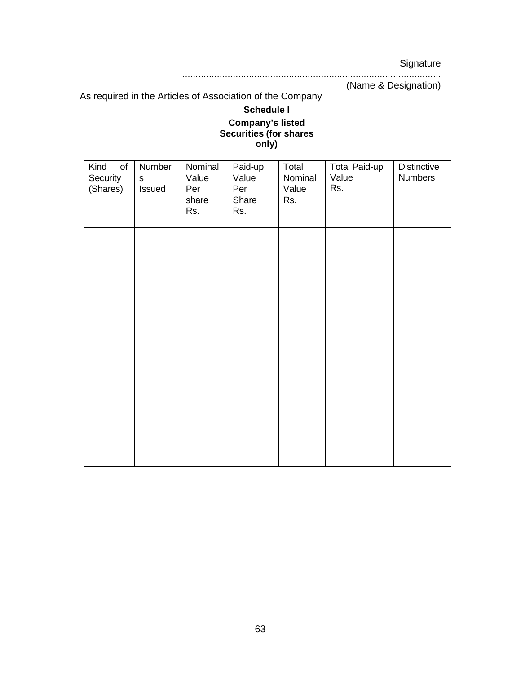**Signature** 

.................................................................................................

(Name & Designation)

As required in the Articles of Association of the Company

## **Schedule I**

#### **Company's listed Securities (for shares only)**

| Kind<br>$\circ$ f<br>Security<br>(Shares) | Number<br>$\mathsf{s}$<br>Issued | Nominal<br>Value<br>Per<br>share<br>Rs. | Paid-up<br>Value<br>Per<br>Share<br>Rs. | Total<br>Nominal<br>Value<br>Rs. | <b>Total Paid-up</b><br>Value<br>Rs. | <b>Distinctive</b><br>Numbers |
|-------------------------------------------|----------------------------------|-----------------------------------------|-----------------------------------------|----------------------------------|--------------------------------------|-------------------------------|
|                                           |                                  |                                         |                                         |                                  |                                      |                               |
|                                           |                                  |                                         |                                         |                                  |                                      |                               |
|                                           |                                  |                                         |                                         |                                  |                                      |                               |
|                                           |                                  |                                         |                                         |                                  |                                      |                               |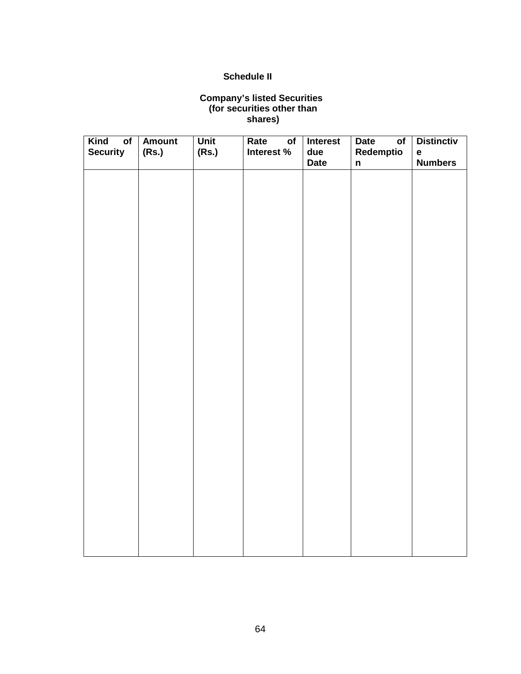# **Schedule II**

#### **Company's listed Securities (for securities other than shares)**

| Kind<br>of      | Amount | Unit  | Rate<br>of | <b>Interest</b> | <b>Date</b><br>$\overline{of}$ | <b>Distinctiv</b> |
|-----------------|--------|-------|------------|-----------------|--------------------------------|-------------------|
| <b>Security</b> | (Rs.)  | (Rs.) | Interest % | due             | Redemptio                      | $\mathbf e$       |
|                 |        |       |            | <b>Date</b>     | n                              | <b>Numbers</b>    |
|                 |        |       |            |                 |                                |                   |
|                 |        |       |            |                 |                                |                   |
|                 |        |       |            |                 |                                |                   |
|                 |        |       |            |                 |                                |                   |
|                 |        |       |            |                 |                                |                   |
|                 |        |       |            |                 |                                |                   |
|                 |        |       |            |                 |                                |                   |
|                 |        |       |            |                 |                                |                   |
|                 |        |       |            |                 |                                |                   |
|                 |        |       |            |                 |                                |                   |
|                 |        |       |            |                 |                                |                   |
|                 |        |       |            |                 |                                |                   |
|                 |        |       |            |                 |                                |                   |
|                 |        |       |            |                 |                                |                   |
|                 |        |       |            |                 |                                |                   |
|                 |        |       |            |                 |                                |                   |
|                 |        |       |            |                 |                                |                   |
|                 |        |       |            |                 |                                |                   |
|                 |        |       |            |                 |                                |                   |
|                 |        |       |            |                 |                                |                   |
|                 |        |       |            |                 |                                |                   |
|                 |        |       |            |                 |                                |                   |
|                 |        |       |            |                 |                                |                   |
|                 |        |       |            |                 |                                |                   |
|                 |        |       |            |                 |                                |                   |
|                 |        |       |            |                 |                                |                   |
|                 |        |       |            |                 |                                |                   |
|                 |        |       |            |                 |                                |                   |
|                 |        |       |            |                 |                                |                   |
|                 |        |       |            |                 |                                |                   |
|                 |        |       |            |                 |                                |                   |
|                 |        |       |            |                 |                                |                   |
|                 |        |       |            |                 |                                |                   |
|                 |        |       |            |                 |                                |                   |
|                 |        |       |            |                 |                                |                   |
|                 |        |       |            |                 |                                |                   |
|                 |        |       |            |                 |                                |                   |